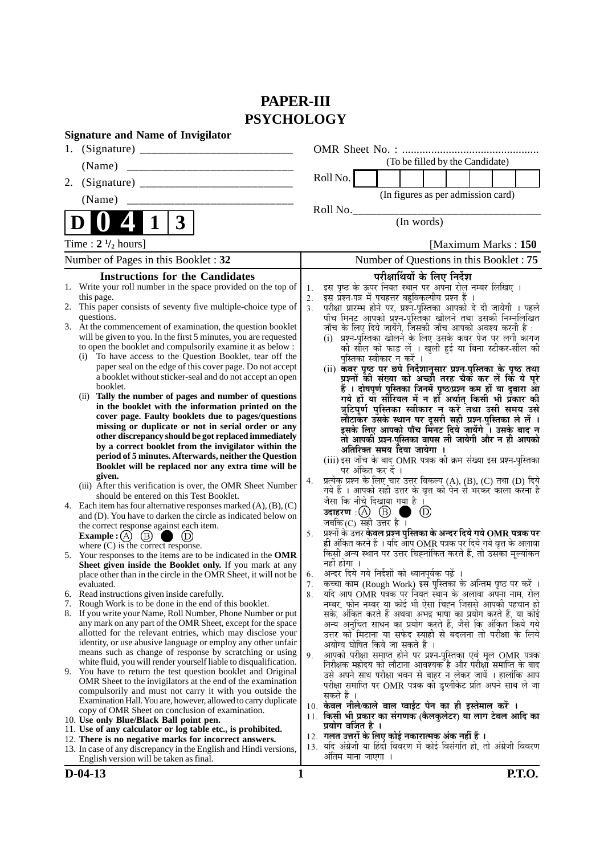# **PAPER-III PSYCHOLOGY**

|    | <b>Signature and Name of Invigilator</b>                                                                                                                                                                                                                                                                                                                                                       |                            |                                                                                                                                                                                                                                                                                                                                                                                                       |
|----|------------------------------------------------------------------------------------------------------------------------------------------------------------------------------------------------------------------------------------------------------------------------------------------------------------------------------------------------------------------------------------------------|----------------------------|-------------------------------------------------------------------------------------------------------------------------------------------------------------------------------------------------------------------------------------------------------------------------------------------------------------------------------------------------------------------------------------------------------|
| 1. |                                                                                                                                                                                                                                                                                                                                                                                                |                            |                                                                                                                                                                                                                                                                                                                                                                                                       |
|    | (Name)                                                                                                                                                                                                                                                                                                                                                                                         |                            | (To be filled by the Candidate)                                                                                                                                                                                                                                                                                                                                                                       |
| 2. |                                                                                                                                                                                                                                                                                                                                                                                                |                            | Roll No.                                                                                                                                                                                                                                                                                                                                                                                              |
|    | (Name)                                                                                                                                                                                                                                                                                                                                                                                         |                            | (In figures as per admission card)                                                                                                                                                                                                                                                                                                                                                                    |
|    |                                                                                                                                                                                                                                                                                                                                                                                                |                            | Roll No.                                                                                                                                                                                                                                                                                                                                                                                              |
|    | 3                                                                                                                                                                                                                                                                                                                                                                                              |                            | (In words)                                                                                                                                                                                                                                                                                                                                                                                            |
|    | Time : $2 \frac{1}{2}$ hours]                                                                                                                                                                                                                                                                                                                                                                  |                            | [Maximum Marks: 150]                                                                                                                                                                                                                                                                                                                                                                                  |
|    | Number of Pages in this Booklet: 32                                                                                                                                                                                                                                                                                                                                                            |                            | Number of Questions in this Booklet: 75                                                                                                                                                                                                                                                                                                                                                               |
|    | 1. Write your roll number in the space provided on the top of<br>this page.<br>2. This paper consists of seventy five multiple-choice type of<br>questions.<br>3. At the commencement of examination, the question booklet                                                                                                                                                                     | 1.<br>2.<br>3 <sub>1</sub> | इस पृष्ठ के ऊपर नियत स्थान पर अपना रोल नम्बर लिखिए ।<br>इस प्रश्न-पत्र में पचहत्तर बहुविकल्पीय प्रश्न हैं ।<br>परीक्षा प्रारम्भ होने पर, प्रश्न-पुस्तिका आपको दे दी जायेगी । पहले<br>पाँच मिनट आपको प्रश्न-पुस्तिका खोलने तथा उसकी निम्नलिखित<br>जाँच के लिए दिये जायेंगे, जिसकी जाँच आपको अवश्य करनी है :                                                                                            |
|    | will be given to you. In the first 5 minutes, you are requested<br>to open the booklet and compulsorily examine it as below :<br>To have access to the Question Booklet, tear off the<br>(i)<br>paper seal on the edge of this cover page. Do not accept<br>a booklet without sticker-seal and do not accept an open<br>booklet.<br>(ii) Tally the number of pages and number of questions     |                            | (i) प्रश्न-पुस्तिका खोलने के लिए उसके कवर पेज पर लगी कागज<br>की सील को फाड़ लें । खुली हुई या बिना स्टीकर-सील की<br>पुस्तिका स्वीकार न करें ।<br>(ii) कँवर पृष्ठ पर छपे निर्देशानुसार प्रश्न-पुस्तिका के पृष्ठ तथा<br>प्रश्नों की संख्या को अच्छी तरह चैक कर लें कि ये पूरे<br>हैं । दोषपूर्ण पुस्तिका जिनमें पृष्ठ/प्रश्न कम हों या दुबारा आ<br>गये हो या सौरियल में न हों अर्थात् किसी भी प्रकार की |
|    | in the booklet with the information printed on the<br>cover page. Faulty booklets due to pages/questions<br>missing or duplicate or not in serial order or any<br>other discrepancy should be got replaced immediately<br>by a correct booklet from the invigilator within the<br>period of 5 minutes. Afterwards, neither the Question<br>Booklet will be replaced nor any extra time will be |                            | त्रुटिपूर्ण पुस्तिका स्वीकार न करें तथा उसी समय उसे<br>लौटाकर उसके स्थान पर दूसरी सही प्रश्न-पुस्तिका ले लें ।<br>इसके लिए आपको पाँच मिनट दिये जायेंगे । उसके बाद न<br>तो आपकी प्रश्न-पुस्तिका वापस ली जायेगी और न ही आपको<br>अतिरिक्त समय दिया जायेगा ।<br>(iii) इस जाँच के बाद OMR पत्रक की क्रम संख्या इस प्रश्न-पुस्तिका<br>पर अंकित कर दें ।                                                     |
|    | given.<br>(iii) After this verification is over, the OMR Sheet Number<br>should be entered on this Test Booklet.<br>4. Each item has four alternative responses marked $(A)$ , $(B)$ , $(C)$<br>and (D). You have to darken the circle as indicated below on<br>the correct response against each item.                                                                                        | 4.<br>5.                   | प्रत्येक प्रश्न के लिए चार उत्तर विकल्प (A), (B), (C) तथा (D) दिये<br>गये हैं । आपको सही उत्तर के वृत्त को पेन से भरकर काला करना है<br>जैसा कि नीचे दिखाया गया है ।<br>उदाहरण: $(A)$ $(B)$<br>$\circled{D}$<br>जबकि $(C)$ सही उत्तर है ।<br>प्रश्नों के उत्तर केवल प्रश्न पुस्तिका के अन्दर दिये गये OMR पत्रक पर                                                                                     |
|    | <b>Example:</b> (A) $(B)$<br>(D)<br>where $(C)$ is the correct response.<br>5. Your responses to the items are to be indicated in the OMR<br>Sheet given inside the Booklet only. If you mark at any<br>place other than in the circle in the OMR Sheet, it will not be                                                                                                                        | 6.                         | ही अंकित करने हैं । यदि ऑप OMR पत्रक पर दिये गये वृत्त के अलावा<br>किसी अन्य स्थान पर उत्तर चिह्नांकित करते हैं, तो उसका मूल्यांकन<br>नहीं होगा ।<br>अन्दर दिये गये निर्देशों को ध्यानपूर्वक पढ़ें ।                                                                                                                                                                                                  |
|    | evaluated.                                                                                                                                                                                                                                                                                                                                                                                     | 7.                         | कच्चा काम (Rough Work) इस पुस्तिका के अन्तिम पृष्ठ पर करें ।                                                                                                                                                                                                                                                                                                                                          |
| 7. | 6. Read instructions given inside carefully.<br>Rough Work is to be done in the end of this booklet.                                                                                                                                                                                                                                                                                           | 8.                         | र्याद आप OMR पत्रक पर नियत स्थान के अलावा अपना नाम, रोल<br>नम्बर, फोन नम्बर या कोई भी ऐसा चिह्न जिससे आपकी पहचान हो                                                                                                                                                                                                                                                                                   |
|    | 8. If you write your Name, Roll Number, Phone Number or put<br>any mark on any part of the OMR Sheet, except for the space<br>allotted for the relevant entries, which may disclose your<br>identity, or use abusive language or employ any other unfair                                                                                                                                       |                            | सके, अंकित करते हैं अथवा अभद्र भाषा का प्रयोग करते हैं, या कोई<br>अन्य अनुचित साधन का प्रयोग करते हैं, जैसे कि अंकित किये गये<br>उत्तर को मिटाना या सफेद स्याही से बदलना तो परीक्षा के लिये<br>अयोग्य घोषित किये जा सकते हैं ।                                                                                                                                                                        |
|    | means such as change of response by scratching or using<br>white fluid, you will render yourself liable to disqualification.<br>9. You have to return the test question booklet and Original<br>OMR Sheet to the invigilators at the end of the examination<br>compulsorily and must not carry it with you outside the                                                                         | 9.                         | आपको परीक्षा समाप्त होने पर प्रश्न-पुस्तिका एवं मूल OMR पत्रक<br>निरीक्षक महोदय को लौटाना आवश्यक है और परीक्षा समाप्ति के बाद<br>उसे अपने साथ परीक्षा भवन से बाहर न लेकर जायें । हालांकि आप<br>परीक्षा समाप्ति पर OMR पत्रक की डुप्लीकेट प्रति अपने साथ ले जा<br>सकते हैं ।                                                                                                                           |
|    | Examination Hall. You are, however, allowed to carry duplicate<br>copy of OMR Sheet on conclusion of examination.<br>10. Use only Blue/Black Ball point pen.                                                                                                                                                                                                                                   |                            | 10. केवल नीले/काले बाल प्वाईंट पेन का ही इस्तेमाल करें ।<br>11. किसी भी प्रकार का संगणक (कैलकुलेटर) या लाग टेबल आदि का                                                                                                                                                                                                                                                                                |
|    | 11. Use of any calculator or log table etc., is prohibited.                                                                                                                                                                                                                                                                                                                                    |                            | प्रयोग वर्जित है ।<br>12.  गलत उत्तरों के लिए कोई नकारात्मक अंक नहीं हैं ।                                                                                                                                                                                                                                                                                                                            |
|    | 12. There is no negative marks for incorrect answers.<br>13. In case of any discrepancy in the English and Hindi versions,<br>English version will be taken as final.                                                                                                                                                                                                                          |                            | 13. यदि अंग्रेजी या हिंदी विवरण में कोई विसंगति हो, तो अंग्रेजी विवरण<br>अंतिम माना जाएगा ।                                                                                                                                                                                                                                                                                                           |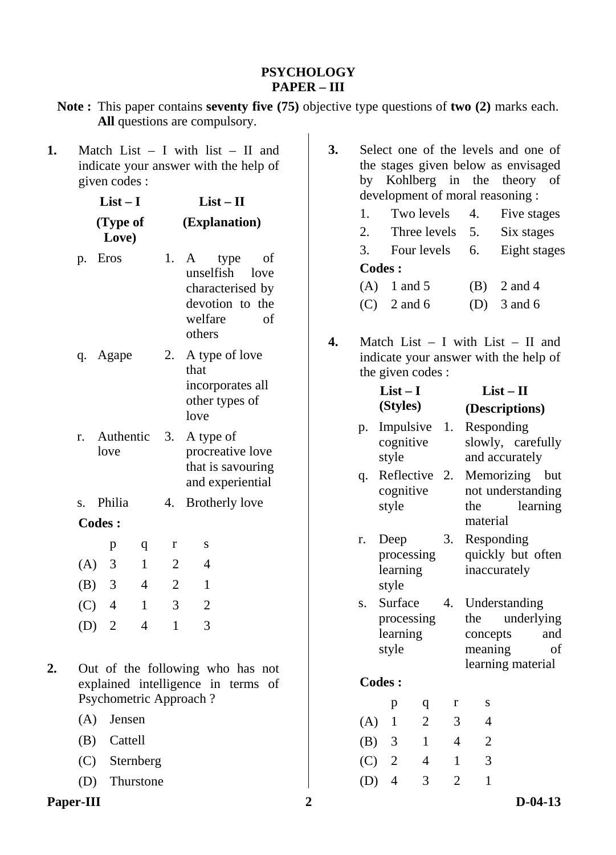#### **PSYCHOLOGY PAPER – III**

- **Note :** This paper contains **seventy five (75)** objective type questions of **two (2)** marks each. **All** questions are compulsory.
- **1.** Match List I with list II and indicate your answer with the help of given codes :

|     | $List-I$          |              | $List-II$      |                                                                                                        |  |  |  |
|-----|-------------------|--------------|----------------|--------------------------------------------------------------------------------------------------------|--|--|--|
|     | (Type of<br>Love) |              | (Explanation)  |                                                                                                        |  |  |  |
| p.  | Eros              |              | 1.             | A<br>type<br>of<br>unselfish<br>love<br>characterised by<br>devotion to the<br>welfare<br>of<br>others |  |  |  |
|     | q. Agape          |              | 2.             | A type of love<br>that<br>incorporates all<br>other types of<br>love                                   |  |  |  |
| r.  | Authentic<br>love |              | 3.             | A type of<br>procreative love<br>that is savouring<br>and experiential                                 |  |  |  |
| S.  | Philia            |              | 4.             | <b>Brotherly love</b>                                                                                  |  |  |  |
|     | <b>Codes:</b>     |              |                |                                                                                                        |  |  |  |
|     | p                 | q            | r              | S                                                                                                      |  |  |  |
|     | $(A)$ 3           | $\mathbf{1}$ | $\overline{2}$ | $\overline{4}$                                                                                         |  |  |  |
|     | $(B)$ 3           | 4            | $\overline{2}$ | 1                                                                                                      |  |  |  |
| (C) | $\overline{4}$    | 1            | 3              | $\overline{2}$                                                                                         |  |  |  |

**2.** Out of the following who has not

(D) 2 4 1 3

- explained intelligence in terms of Psychometric Approach ?
	- (A) Jensen
	- (B) Cattell
	- (C) Sternberg
	- (D) Thurstone
- **Paper-III 2 D-04-13**
- **3.** Select one of the levels and one of the stages given below as envisaged by Kohlberg in the theory of development of moral reasoning :
	- 1. Two levels 4. Five stages
	- 2. Three levels 5. Six stages
	- 3. Four levels 6. Eight stages **Codes :**
	- (A) 1 and 5 (B) 2 and 4
	- (C)  $2 \text{ and } 6$  (D)  $3 \text{ and } 6$
- **4.** Match List I with List II and indicate your answer with the help of the given codes :

|     | $List-I$                                   |                            | $List - II$    |                                                                                             |  |  |  |
|-----|--------------------------------------------|----------------------------|----------------|---------------------------------------------------------------------------------------------|--|--|--|
|     | (Styles)                                   |                            |                | (Descriptions)                                                                              |  |  |  |
| p.  | Impulsive<br>cognitive<br>style            |                            | 1.             | Responding<br>slowly, carefully<br>and accurately                                           |  |  |  |
| q.  | style                                      | Reflective 2.<br>cognitive |                | Memorizing but<br>not understanding<br>learning<br>the<br>material                          |  |  |  |
| r.  | Deep<br>processing<br>learning<br>style    |                            |                | 3.<br>Responding<br>quickly but often<br>inaccurately                                       |  |  |  |
| S.  | Surface<br>processing<br>learning<br>style |                            | 4.             | Understanding<br>underlying<br>the<br>and<br>concepts<br>meaning<br>of<br>learning material |  |  |  |
|     | <b>Codes:</b>                              |                            |                |                                                                                             |  |  |  |
|     | p                                          | q                          | r              | S                                                                                           |  |  |  |
| (A) | $\mathbf{1}$                               | $\overline{2}$             | 3              | 4                                                                                           |  |  |  |
|     | $(B)$ 3                                    | $\mathbf{1}$               | 4              | $\overline{2}$                                                                              |  |  |  |
|     | $(C)$ 2                                    | 4                          | $\mathbf{1}$   | 3                                                                                           |  |  |  |
| (D) | $\overline{4}$                             | 3                          | $\overline{2}$ | $\mathbf{1}$                                                                                |  |  |  |
|     |                                            |                            |                |                                                                                             |  |  |  |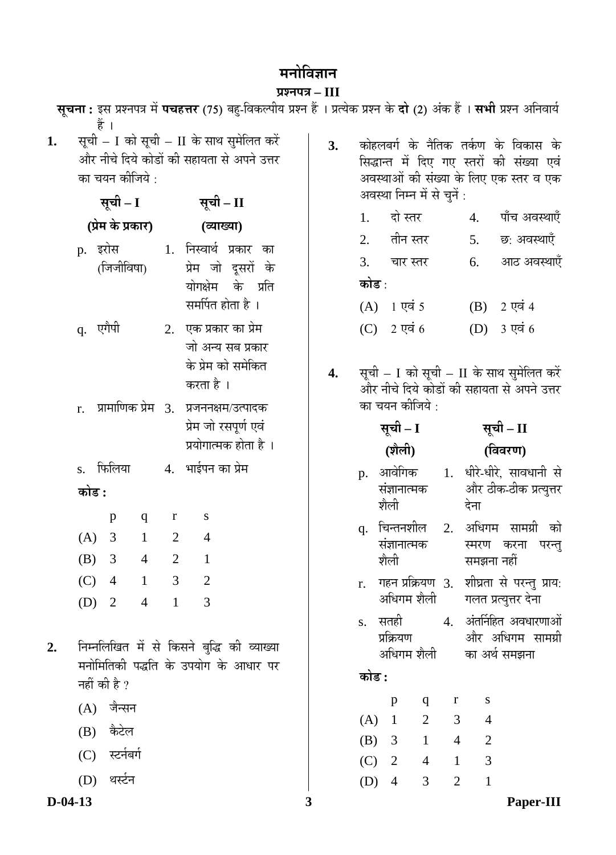# मनोविज्ञान

# **प्रश्नपत्र – III**<br><del>⊂</del>— ⊥ँ ⊤— पीर

|           |                                                                                                                                     |                       |                |                |                       | <b>सूचना :</b> इस प्रश्नपत्र में <b>पचहत्तर</b> (75) बहु-विकल्पीय प्रश्न हैं । प्रत्येक प्रश्न के <b>दो</b> (2) अंक हैं । <b>सभी</b> प्रश्न अनिवार्य |   |    |                             |                      |                 |                                                                                                                            |                |                                                                                    |  |
|-----------|-------------------------------------------------------------------------------------------------------------------------------------|-----------------------|----------------|----------------|-----------------------|------------------------------------------------------------------------------------------------------------------------------------------------------|---|----|-----------------------------|----------------------|-----------------|----------------------------------------------------------------------------------------------------------------------------|----------------|------------------------------------------------------------------------------------|--|
| 1.        | सूची – I को सूची – II के साथ सुमेलित करें<br>और नीचे दिये कोडों की सहायता से अपने उत्तर<br>का चयन कीजिये :<br>सूची – I<br>सूची – II |                       |                |                |                       | 3.                                                                                                                                                   |   |    | अवस्था निम्न में से चुनें : |                      |                 | कोहलबर्ग के नैतिक तर्कण के विकास के<br>सिद्धान्त में दिए गए स्तरों की संख्या एवं<br>अवस्थाओं की संख्या के लिए एक स्तर व एक |                |                                                                                    |  |
|           |                                                                                                                                     | (प्रेम के प्रकार)     |                |                |                       |                                                                                                                                                      |   |    | 1.                          | दो स्तर              |                 |                                                                                                                            | 4.             | पाँच अवस्थाएँ                                                                      |  |
|           |                                                                                                                                     |                       |                |                | (व्याख्या)            |                                                                                                                                                      |   |    | 2.                          |                      | तीन स्तर        |                                                                                                                            | 5.             | छ: अवस्थाएँ                                                                        |  |
|           |                                                                                                                                     | p. इरोस<br>(जिजीविषा) |                |                |                       | 1. निस्वार्थ प्रकार का<br>प्रेम जो दूसरों के                                                                                                         |   |    | 3.                          |                      | चार स्तर        |                                                                                                                            | 6.             | आठ अवस्थाएँ                                                                        |  |
|           |                                                                                                                                     |                       |                |                |                       | योगक्षेम के प्रति                                                                                                                                    |   |    | कोड :                       |                      |                 |                                                                                                                            |                |                                                                                    |  |
|           |                                                                                                                                     |                       |                |                | समर्पित होता है ।     |                                                                                                                                                      |   |    |                             | $(A)$ 1 एवं 5        |                 |                                                                                                                            | (B)            | 2 एवं 4                                                                            |  |
|           |                                                                                                                                     | q. एगैपी              |                |                | 2. एक प्रकार का प्रेम |                                                                                                                                                      |   |    | (C)                         |                      | 2 एवं $6$       |                                                                                                                            | (D)            | 3 एवं 6                                                                            |  |
|           |                                                                                                                                     |                       |                |                |                       | जो अन्य सब प्रकार                                                                                                                                    |   |    |                             |                      |                 |                                                                                                                            |                |                                                                                    |  |
|           |                                                                                                                                     |                       |                |                | करता है ।             | के प्रेम को समेकित                                                                                                                                   |   | 4. |                             |                      |                 |                                                                                                                            |                | सूची – I को सूची – II के साथ सुमेलित करें                                          |  |
|           |                                                                                                                                     |                       |                |                |                       |                                                                                                                                                      |   |    |                             |                      | का चयन कीजिये : |                                                                                                                            |                | और नीचे दिये कोडों की सहायता से अपने उत्तर                                         |  |
|           | r.                                                                                                                                  | प्रामाणिक प्रेम 3.    |                |                |                       | प्रजननक्षम/उत्पादक<br>प्रेम जो रसपूर्ण एवं                                                                                                           |   |    |                             | सूची – I             |                 |                                                                                                                            |                | सूची – II                                                                          |  |
|           |                                                                                                                                     |                       |                |                |                       | प्रयोगात्मक होता है ।                                                                                                                                |   |    |                             | (शैली)               |                 |                                                                                                                            |                | (विवरण)                                                                            |  |
|           |                                                                                                                                     | s. फिलिया             |                |                | 4. भाईपन का प्रेम     |                                                                                                                                                      |   |    |                             | आवेगिक               |                 |                                                                                                                            |                | 1. धीरे-धीरे, सावधानी से                                                           |  |
|           | कोड :                                                                                                                               |                       |                |                |                       |                                                                                                                                                      |   |    | p.                          | संज्ञानात्मक<br>शैली |                 |                                                                                                                            | देना           | और ठीक-ठीक प्रत्युत्तर                                                             |  |
|           |                                                                                                                                     | $\mathbf{p}$          | $\mathbf q$    | r              | S                     |                                                                                                                                                      |   |    | q.                          |                      | चिन्तनशील       | 2.                                                                                                                         |                | अधिगम सामग्री को                                                                   |  |
|           | (A)                                                                                                                                 | 3                     | $\mathbf{1}$   | $\overline{2}$ | $\overline{4}$        |                                                                                                                                                      |   |    |                             | संज्ञानात्मक         |                 |                                                                                                                            |                | स्मरण करना परन्तु                                                                  |  |
|           | (B)                                                                                                                                 | 3                     | $\overline{4}$ | $\overline{2}$ | $\mathbf{1}$          |                                                                                                                                                      |   |    |                             | शैली                 |                 |                                                                                                                            | समझना नहीं     |                                                                                    |  |
|           | (C)                                                                                                                                 | $\overline{4}$        | $\mathbf{1}$   | 3              | $\overline{2}$        |                                                                                                                                                      |   |    | r.                          |                      |                 |                                                                                                                            |                | गहन प्रक्रियण 3. शीघ्रता से परन्तु प्राय:<br>अधिगम शैली       गलत प्रत्युत्तर देना |  |
|           |                                                                                                                                     | (D) 2 4 1             |                |                | 3                     |                                                                                                                                                      |   |    | S.                          | सतही                 |                 |                                                                                                                            |                | 4. अंतर्निहित अवधारणाओं                                                            |  |
|           |                                                                                                                                     |                       |                |                |                       |                                                                                                                                                      |   |    |                             | प्रक्रियण            |                 |                                                                                                                            |                | और अधिगम सामग्री                                                                   |  |
| 2.        |                                                                                                                                     |                       |                |                |                       | निम्नलिखित में से किसने बुद्धि की व्याख्या<br>मनोमितिकी पद्धति के उपयोग के आधार पर                                                                   |   |    |                             |                      | अधिगम शैली      |                                                                                                                            |                | का अर्थ समझना                                                                      |  |
|           |                                                                                                                                     | नहीं की है ?          |                |                |                       |                                                                                                                                                      |   |    | कोड :                       |                      |                 |                                                                                                                            |                |                                                                                    |  |
|           |                                                                                                                                     | (A) जैन्सन            |                |                |                       |                                                                                                                                                      |   |    |                             | $\mathbf{p}$         | q               | r                                                                                                                          | S              |                                                                                    |  |
|           | (B)                                                                                                                                 | कैटेल                 |                |                |                       |                                                                                                                                                      |   |    | (A)                         | $\overline{1}$       | $\overline{2}$  | 3                                                                                                                          | $\overline{4}$ |                                                                                    |  |
|           | (C)                                                                                                                                 | स्टर्नबर्ग            |                |                |                       |                                                                                                                                                      |   |    | (B)                         | 3 <sup>7</sup>       | $\mathbf{1}$    | $\overline{4}$                                                                                                             | $\overline{2}$ |                                                                                    |  |
|           |                                                                                                                                     | थर्स्टन               |                |                |                       |                                                                                                                                                      |   |    | (C)                         | 2                    | $\overline{4}$  | $\mathbf{1}$                                                                                                               | 3              |                                                                                    |  |
| $D-04-13$ | (D)                                                                                                                                 |                       |                |                |                       |                                                                                                                                                      | 3 |    | (D)                         | $\overline{4}$       | $\overline{3}$  | $\overline{2}$                                                                                                             | $\mathbf{1}$   | Paper-III                                                                          |  |
|           |                                                                                                                                     |                       |                |                |                       |                                                                                                                                                      |   |    |                             |                      |                 |                                                                                                                            |                |                                                                                    |  |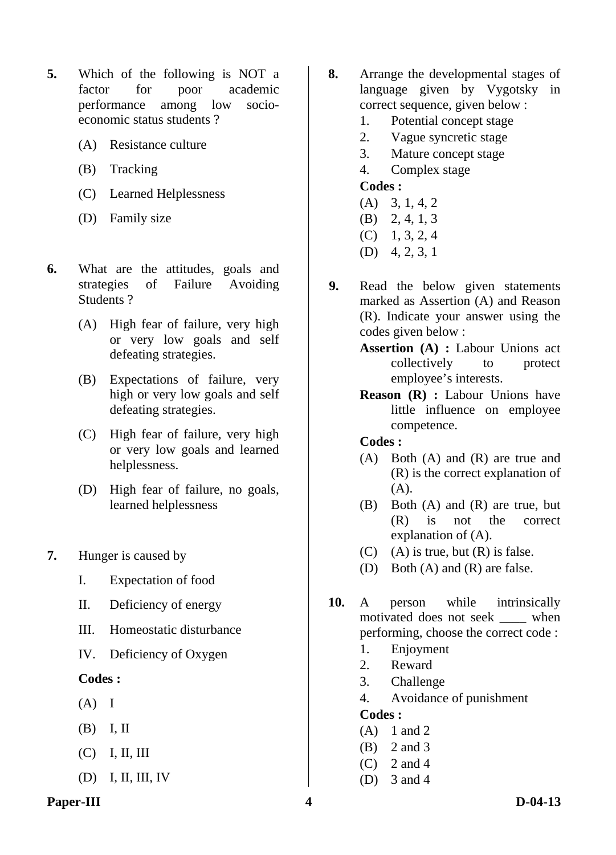- **5.** Which of the following is NOT a factor for poor academic performance among low socioeconomic status students ?
	- (A) Resistance culture
	- (B) Tracking
	- (C) Learned Helplessness
	- (D) Family size
- **6.** What are the attitudes, goals and strategies of Failure Avoiding Students ?
	- (A) High fear of failure, very high or very low goals and self defeating strategies.
	- (B) Expectations of failure, very high or very low goals and self defeating strategies.
	- (C) High fear of failure, very high or very low goals and learned helplessness.
	- (D) High fear of failure, no goals, learned helplessness
- **7.** Hunger is caused by
	- I. Expectation of food
	- II. Deficiency of energy
	- III. Homeostatic disturbance
	- IV. Deficiency of Oxygen

- $(A)$  I
- (B) I, II
- $(C)$  I, II, III
- (D) I, II, III, IV
- **Paper-III** D-04-13
- **8.** Arrange the developmental stages of language given by Vygotsky in correct sequence, given below :
	- 1. Potential concept stage
	- 2. Vague syncretic stage
	- 3. Mature concept stage
	- 4. Complex stage

#### **Codes :**

- (A) 3, 1, 4, 2
- (B) 2, 4, 1, 3
- $(C)$  1, 3, 2, 4
- (D) 4, 2, 3, 1
- **9.** Read the below given statements marked as Assertion (A) and Reason (R). Indicate your answer using the codes given below :
	- **Assertion (A) :** Labour Unions act collectively to protect employee's interests.
	- **Reason (R) :** Labour Unions have little influence on employee competence.

#### **Codes :**

- (A) Both (A) and (R) are true and (R) is the correct explanation of (A).
- (B) Both (A) and (R) are true, but (R) is not the correct explanation of (A).
- $(C)$  (A) is true, but  $(R)$  is false.
- (D) Both (A) and (R) are false.
- **10.** A person while intrinsically motivated does not seek \_\_\_\_ when performing, choose the correct code :
	- 1. Enjoyment
	- 2. Reward
	- 3. Challenge
	- 4. Avoidance of punishment

- (A) 1 and 2
- (B) 2 and 3
- $(C)$  2 and 4
- (D) 3 and 4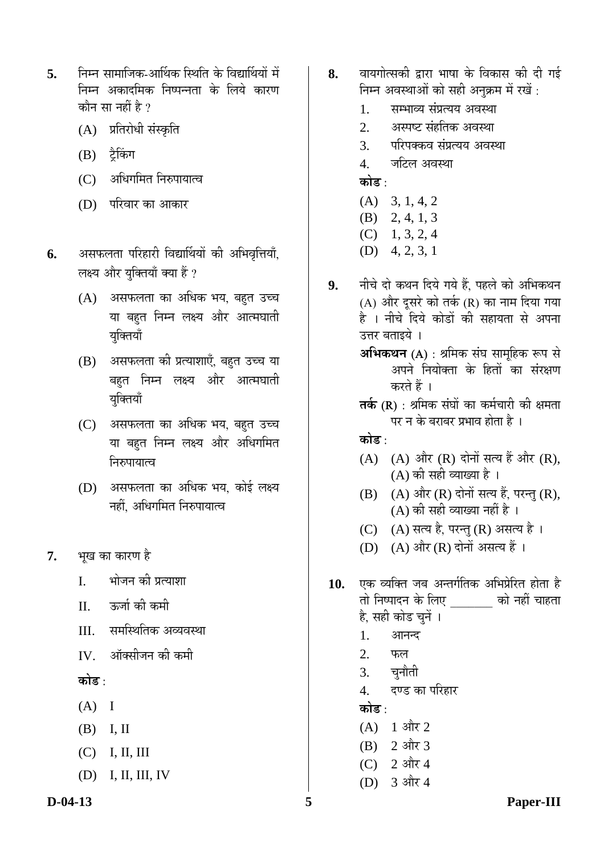- **5.** निम्न सामाजिक-आर्थिक स्थिति के विद्यार्थियों में निम्न अकादमिक निष्पन्नता के लिये कारण कौन सा नहीं है ?
	- (A) प्रतिरोधी संस्कृति
	- (B) ट्रैकिंग
	- (C) अधिगमित निरुपायात्व
	- (D) परिवार का आकार
- **6.** असफलता परिहारी विद्यार्थियों की अभिवृत्तियाँ, लक्ष्य और युक्तियाँ क्या हैं ?
	- $(A)$  असफलता का अधिक भय, बहुत उच्च या बहुत निम्न लक्ष्य और आत्मघाती यक्तियाँ
	- (B) असफलता को प्रत्याशाएँ, बहुत उच्च या बहत निम्न लक्ष्य और आत्मघाती युक्तियाँ
	- (C) असफलता का अधिक भय, बहुत उच्च या बहत निम्न लक्ष्य और अधिगमित निरुपायात्व
	- $(D)$  असफलता का अधिक भय, कोई लक्ष्य नहीं. अधिगमित निरुपायात्व
- **7.** भुख का कारण है
	- I. भोजन की प्रत्याशा
	- II. ऊर्जा की कमी
	- III. समस्थितिक अव्यवस्था
	- IV. ऑक्सीजन की कमी
	- **कोड़** ·
	- $(A)$  I
	- (B) I, II
	- (C) I, II, III
	- (D) I, II, III, IV
- **8.** वायगोत्सकी द्वारा भाषा के विकास की दी गई निम्न अवस्थाओं को सही अनुक्रम में रखें:
	- 1. सम्भाव्य संप्रत्यय अवस्था
	- 2. अस्पष्ट संहतिक अवस्था
	- 3. परिपक्कव संप्रत्यय अवस्था
	- 4. जटिल अवस्था

<u>कोड :</u>

- (A) 3, 1, 4, 2
- (B) 2, 4, 1, 3
- $(C)$  1, 3, 2, 4
- (D) 4, 2, 3, 1
- 9. नीचे दो कथन दिये गये हैं. पहले को अभिकथन  $(A)$  और दूसरे को तर्क  $(R)$  का नाम दिया गया है । नीचे दिये कोडों की सहायता से अपना उत्तर बताइये । **अभिकथन (A)** : श्रमिक संघ सामुहिक रूप से अपने नियोक्ता के हितों का संरक्षण करते हैं । **तर्क (R)** : श्रमिक संघों का कर्मचारी की क्षमता पर न के बराबर प्रभाव होता है । कोड़ ·  $(A)$   $(A)$  और  $(R)$  दोनों सत्य हैं और  $(R)$ , (A) की सही व्याख्या है ।  $(B)$   $(A)$  और  $(R)$  दोनों सत्य हैं, परन्तु  $(R)$ ,  $(A)$  की सही व्याख्या नहीं है । (C) (A) सत्य है, परन्तु (R) असत्य है। (D)  $(A)$  और  $(R)$  दोनों असत्य हैं । 10. **एक व्यक्ति जब अन्तर्गतिक अभिप्रेरित** होता है तो निष्पादन के लिए <sup>को</sup> नहीं चाहता है, सही कोड चुनें । 1. आनन्द  $2.$  फल 3. चुनौती 4. दण्ड का परिहार <u>कोड :</u>
	- $(A)$  1 और 2
	- $(B)$  2 और 3
	- $(C)$  2 और 4
	- (D) 3 और 4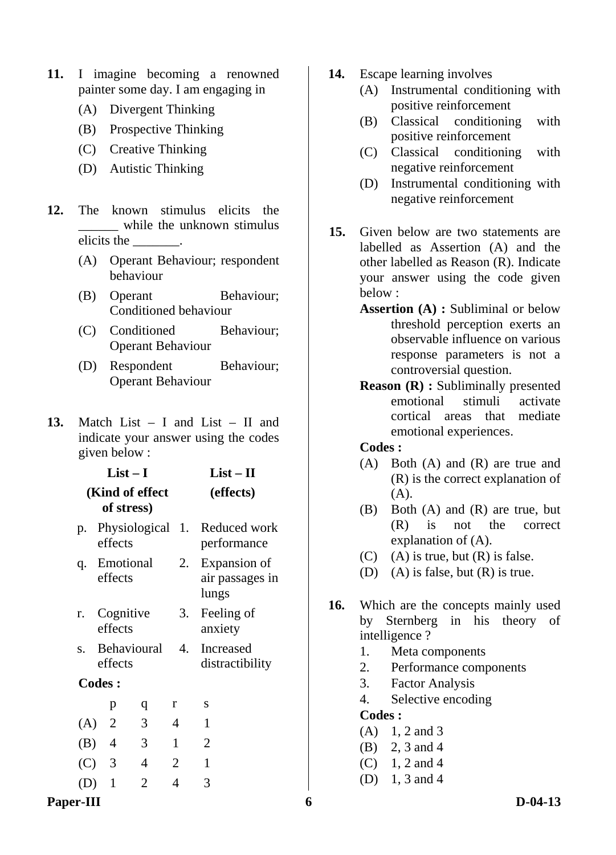- **11.** I imagine becoming a renowned painter some day. I am engaging in
	- (A) Divergent Thinking
	- (B) Prospective Thinking
	- (C) Creative Thinking
	- (D) Autistic Thinking
- **12.** The known stimulus elicits the while the unknown stimulus elicits the \_\_\_\_\_\_\_.
	- (A) Operant Behaviour; respondent behaviour
	- (B) Operant Behaviour; Conditioned behaviour
	- (C) Conditioned Behaviour; Operant Behaviour
	- (D) Respondent Behaviour; Operant Behaviour

**List – II** 

**13.** Match List – I and List – II and indicate your answer using the codes given below :

**List – I** 

|         |                                          | LISL — 1      |  |                 |  | LISL — 11    |           |                                          |  |
|---------|------------------------------------------|---------------|--|-----------------|--|--------------|-----------|------------------------------------------|--|
|         |                                          | of stress)    |  | (Kind of effect |  |              | (effects) |                                          |  |
| p.      | Physiological 1. Reduced work<br>effects |               |  |                 |  |              |           | performance                              |  |
| q.      | Emotional<br>effects                     |               |  |                 |  | 2.           |           | Expansion of<br>air passages in<br>lungs |  |
| r.      | Cognitive<br>effects                     |               |  |                 |  | 3.           |           | Feeling of<br>anxiety                    |  |
| S.      |                                          | effects       |  | Behavioural     |  | 4.           |           | Increased<br>distractibility             |  |
|         |                                          | <b>Codes:</b> |  |                 |  |              |           |                                          |  |
|         |                                          | p             |  | q               |  | r            |           | S                                        |  |
| $(A)$ 2 |                                          |               |  | 3               |  | 4            |           | $\mathbf{1}$                             |  |
| $(B)$ 4 |                                          |               |  | 3               |  | $\mathbf{1}$ |           | 2                                        |  |
| $(C)$ 3 |                                          |               |  | 4               |  | 2            |           | 1                                        |  |
| (D)     |                                          | $\mathbf{1}$  |  | 2               |  | 4            |           | 3                                        |  |
|         |                                          |               |  |                 |  |              |           |                                          |  |

- **14.** Escape learning involves
	- (A) Instrumental conditioning with positive reinforcement
	- (B) Classical conditioning with positive reinforcement
	- (C) Classical conditioning with negative reinforcement
	- (D) Instrumental conditioning with negative reinforcement
- **15.** Given below are two statements are labelled as Assertion (A) and the other labelled as Reason (R). Indicate your answer using the code given below :
	- **Assertion (A) :** Subliminal or below threshold perception exerts an observable influence on various response parameters is not a controversial question.
	- **Reason (R) :** Subliminally presented emotional stimuli activate cortical areas that mediate emotional experiences.

#### **Codes :**

- (A) Both (A) and (R) are true and (R) is the correct explanation of (A).
- (B) Both (A) and (R) are true, but (R) is not the correct explanation of (A).
- $(C)$  (A) is true, but  $(R)$  is false.
- (D) (A) is false, but (R) is true.
- **16.** Which are the concepts mainly used by Sternberg in his theory of intelligence ?
	- 1. Meta components
	- 2. Performance components
	- 3. Factor Analysis
	- 4. Selective encoding

- $(A)$  1, 2 and 3
- (B) 2, 3 and 4
- $(C)$  1, 2 and 4
- (D) 1, 3 and 4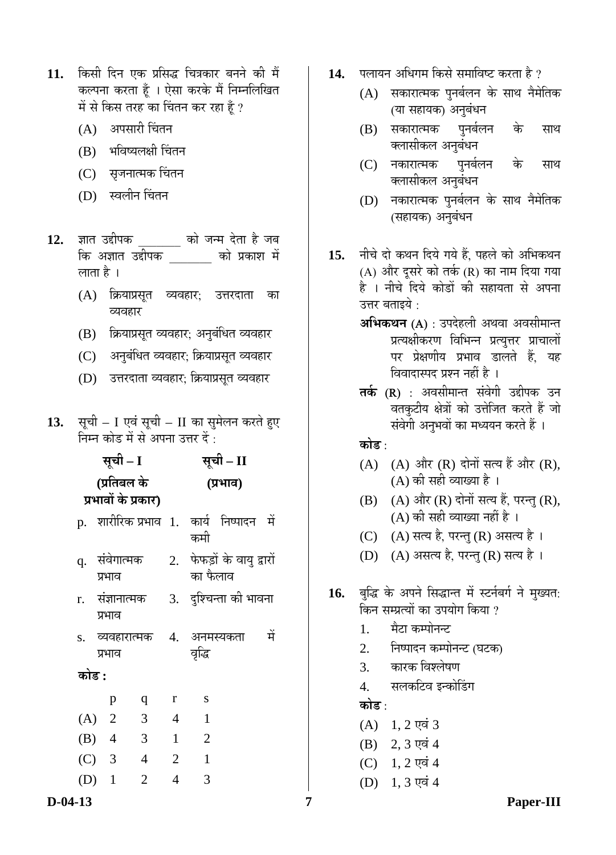- 11. किसी दिन एक प्रसिद्ध चित्रकार बनने की मैं कल्पना करता हूँ । ऐसा करके मैं निम्नलिखित में से किस तरह का चिंतन कर रहा हूँ ?
	- (A) अपसारी चिंतन
	- (B) भविष्यलक्षी चिंतन
	- (C) सृजनात्मक चिंतन
	- (D) स्वलीन चिंतन
- 12. ज्ञात उद्दीपक को जन्म देता है जब कि अज्ञात उद्दीपक को प्रकाश में लाता है ।
	- (A) क्रियाप्रसृत व्यवहार: उत्तरदाता का व्यवहार
	- (B) क्रियाप्रसूत व्यवहार; अनुबंधित व्यवहार
	- (C) । अनुबंधित व्यवहार; क्रियाप्रसूत व्यवहार
	- (D) उत्तरदाता व्यवहार; क्रियाप्रसूत व्यवहार
- 13. सूची I एवं सूची II का सुमेलन करते हुए निम्न कोड में से अपना उत्तर दें $\,$ :

<u>सूची – I</u> **(प्रतिबल के ¯ÖϳÖÖ¾ÖÖë Ûêú ¯ÖÏÛúÖ¸ü)**  <u>सची – II</u> **(¯ÖϳÖÖ¾Ö)**  p. शारीरिक-प्रभाव 1. कार्य निष्पादन में कमी q. संवेगात्मक प्रभाव 2. फेफड़ों के वायु द्वारों का फैलाव  $r$ . संज्ञानात्मक प्रभाव 3. दश्चिन्ता की भावना  $\,$ s. व्यवहारात्मक प्रभाव 4. अनमस्यकता में वृद्धि <u>कोड :</u> p q r s (A) 2 3 4 1 (B) 4 3 1 2 (C) 3 4 2 1 (D) 1 2 4 3

- 14. पलायन अधिगम किसे समाविष्ट करता है ?
	- (A) सकारात्मक पुनर्बलन के साथ नैमेतिक (या सहायक) अनुबंधन
	- (B) सकारात्मक पुनर्बलन के साथ क्लासीकल अनुबंधन
	- (C) नकारात्मक पुनर्बलन के साथ क्लासीकल अनुबंधन
	- (D) नकारात्मक पुनर्बलन के साथ नैमेतिक (सहायक) अनुबंधन
- 15. नीचे दो कथन दिये गये हैं. पहले को अभिकथन  $(A)$  और दूसरे को तर्क  $(R)$  का नाम दिया गया है । नीचे दिये कोडों की सहायता से अपना उत्तर बताइये $\,$  :
	- **अभिकथन (A)** : उपदेहली अथवा अवसीमान्त प्रत्यक्षीकरण विभिन्न प्रत्युत्तर प्राचालों पर प्रेक्षणीय प्रभाव डालते हैं, यह विवादास्पद प्रश्न नहीं है ।
	- **तर्क (R)** : अवसीमान्त संवेगी उद्दीपक उन वतकुटीय क्षेत्रों को उत्तेजित करते हैं जो संवेगी अनुभवों का मध्ययन करते हैं ।

<u>कोड :</u>

- $(A)$   $(A)$  और  $(R)$  दोनों सत्य हैं और  $(R)$ , (A) की सही व्याख्या है ।
- $(B)$   $(A)$  और  $(R)$  दोनों सत्य हैं, परन्तु  $(R)$ , (A) की सही व्याख्या नहीं है ।
- $(C)$   $(A)$  सत्य है, परन्तु  $(R)$  असत्य है ।
- (D) (A) असत्य है, परन्तु (R) सत्य है।
- 16. बुद्धि के अपने सिद्धान्त में स्टर्नबर्ग ने मुख्यत: <u>किन सम्प्रत्यों का उपयोग किया ?</u>
	- 1. मैटा कम्पोनन्ट
	- 2. निष्पादन कम्पोनन्ट (घटक)
	- 3. कारक विश्लेषण
	- 4. सलकटिव इन्कोडिंग

**कोड** :

- $(A)$  1, 2 एवं 3
- $(B)$  2, 3 एवं 4
- $(C)$  1, 2 एवं 4
- $(D)$  1, 3 एवं 4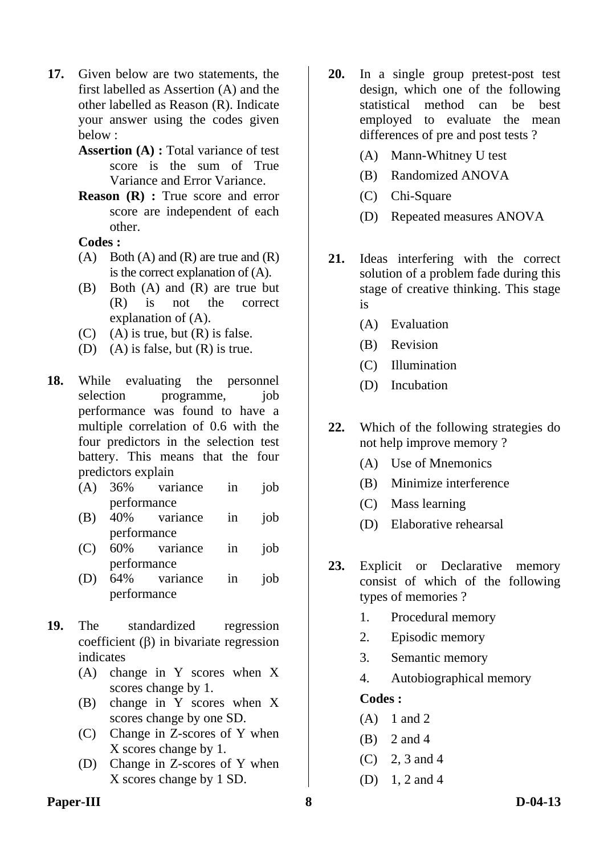- **17.** Given below are two statements, the first labelled as Assertion (A) and the other labelled as Reason (R). Indicate your answer using the codes given below :
	- **Assertion (A) :** Total variance of test score is the sum of True Variance and Error Variance.
	- **Reason (R) :** True score and error score are independent of each other.

- $(A)$  Both  $(A)$  and  $(R)$  are true and  $(R)$ is the correct explanation of (A).
- (B) Both (A) and (R) are true but (R) is not the correct explanation of (A).
- $(C)$  (A) is true, but  $(R)$  is false.
- (D) (A) is false, but  $(R)$  is true.
- **18.** While evaluating the personnel selection programme, job performance was found to have a multiple correlation of 0.6 with the four predictors in the selection test battery. This means that the four predictors explain
	- (A) 36% variance in job performance
	- (B) 40% variance in job performance
	- (C) 60% variance in job performance
	- (D) 64% variance in job performance
- **19.** The standardized regression coefficient (β) in bivariate regression indicates
	- (A) change in Y scores when X scores change by 1.
	- (B) change in Y scores when X scores change by one SD.
	- (C) Change in Z-scores of Y when X scores change by 1.
	- (D) Change in Z-scores of Y when X scores change by 1 SD.
- **20.** In a single group pretest-post test design, which one of the following statistical method can be best employed to evaluate the mean differences of pre and post tests ?
	- (A) Mann-Whitney U test
	- (B) Randomized ANOVA
	- (C) Chi-Square
	- (D) Repeated measures ANOVA
- **21.** Ideas interfering with the correct solution of a problem fade during this stage of creative thinking. This stage is
	- (A) Evaluation
	- (B) Revision
	- (C) Illumination
	- (D) Incubation
- **22.** Which of the following strategies do not help improve memory ?
	- (A) Use of Mnemonics
	- (B) Minimize interference
	- (C) Mass learning
	- (D) Elaborative rehearsal
- **23.** Explicit or Declarative memory consist of which of the following types of memories ?
	- 1. Procedural memory
	- 2. Episodic memory
	- 3. Semantic memory
	- 4. Autobiographical memory

#### **Codes :**

- (A) 1 and 2
- (B) 2 and 4
- (C) 2, 3 and 4
- (D) 1, 2 and 4

#### **Paper-III 8 D-04-13**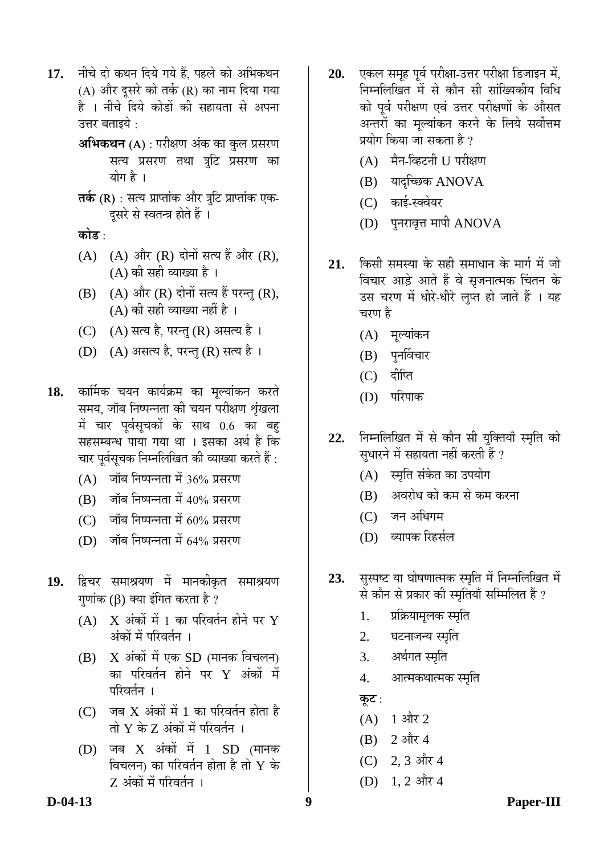- 17. नीचे दो कथन दिये गये हैं, पहले को अभिकथन (A) और दूसरे को तर्क (R) का नाम दिया गया है । नीचे दिये कोडों की सहायता से अपना उत्तर बताइये :
	- **अभिकथन (A)** : परीक्षण अंक का कुल प्रसरण सत्य प्रसरण तथा त्रूटि प्रसरण क<mark>ा</mark> योग है ।
	- **तर्क (R)** : सत्य प्राप्तांक और त्रूटि प्राप्तांक एक-दुसरे से स्वतन्त्र होते हैं ।

<u>कोड :</u>

- $(A)$   $(A)$  और  $(R)$  दोनों सत्य हैं और  $(R)$ , (A) की सही व्याख्या है ।
- $(B)$   $(A)$  और  $(R)$  दोनों सत्य हैं परन्तु  $(R)$ ,  $(A)$  की सही व्याख्या नहीं है ।
- (C) (A) सत्य है, परन्तु (R) असत्य है।
- (D) (A) असत्य है, परन्तु (R) सत्य है।
- 18. कार्मिक चयन कार्यक्रम का मूल्यांकन करते समय, जॉब निष्पन्नता की चयन परीक्षण शृंखला में चार पर्वसृचकों के साथ 0.6 का बह सहसम्बन्ध पाया गया था । इसका अर्थ है कि चार पर्वसुचक निम्नलिखित की व्याख्या करते हैं :
	- $(A)$  जॉब निष्पन्नता में 36% प्रसरण
	- $(B)$  जॉब निष्पन्नता में 40% प्रसरण
	- $(C)$  जॉब निष्पन्नता में 60% प्रसरण
	- $(D)$  जॉब निष्पन्नता में 64% प्रसरण
- 19. द्विचर समाश्रयण में मानकीकृत समाश्रयण  $\eta$ णांक (β) क्या इंगित करता है ?
	- $(A)$   $X$  अंकों में 1 का परिवर्तन होने पर  $Y$ अंकों में परिवर्तन ।
	- $(B)$   $\overline{X}$  अंकों में एक SD (मानक विचलन) का परिवर्तन होने पर  $\boldsymbol{\mathrm{Y}}$  अंकों में परिवर्तन**।**
	- $(C)$  जब  $X$  अंकों में 1 का परिवर्तन होता है तो  $Y$  के  $Z$  अंकों में परिवर्तन ।
	- $(D)$  जब  $X$  अंकों में 1 SD (मानक विचलन) का परिवर्तन होता है तो  $\boldsymbol{\mathrm{Y}}$  के Z अंकों में परिवर्तन**।**
- 20. **एकल समूह पूर्व परीक्षा-उत्तर परीक्षा** डिजाइन में, निम्नलिखित में से कौन सी सांख्यिकीय विधि को पूर्व परीक्षण एवं उत्तर परीक्षणों के औसत अन्तरों का मूल्यांकन करने के लिये सर्वोत्तम प्रयोग किया जा सकता है ?
	- (A) मैन-व्हिटनी U परीक्षण
	- $(B)$  यादच्छिक ANOVA
	- (C) काई-स्क्वेयर
	- (D) पुनरावृत्त मापी ANOVA
- 21. किसी समस्या के सही समाधान के मार्ग में जो विचार आड़े आते हैं वे सृजनात्मक चिंतन के उस चरण में धीरे-धीरे लुप्त हो जाते हैं । यह चरण है
	- (A) मूल्यांकन
	- $(B)$  पुनर्विचार
	- (C) दीप्ति
	- (D) परिपाक
- 22. निम्नलिखित में से कौन सी युक्तियाँ स्मृति को सुधारने में सहायता नहीं करती हैं ?
	- (A) स्मृति संकेत का उपयोग
	- (B) अवरोध को कम से कम करना
	- $(C)$  जन अधिगम
	- (D) व्यापक रिहर्सल
- 23. सुस्पष्ट या घोषणात्मक स्मृति में निम्नलिखित में से कौन से प्रकार की स्मृतियाँ सम्मिलित हैं ?
	- 1. प्रक्रियामूलक स्मृति
	- 2. घटनाजन्य स्मृति
	- 3. अर्थगत स्मृति
	- 4. आत्मकथात्मक स्मृति

<u>क</u>ूट :

- $(A)$  1 और 2
- $(B)$  2 और 4
- (C) 2, 3 और 4
- $(D)$  1, 2 और 4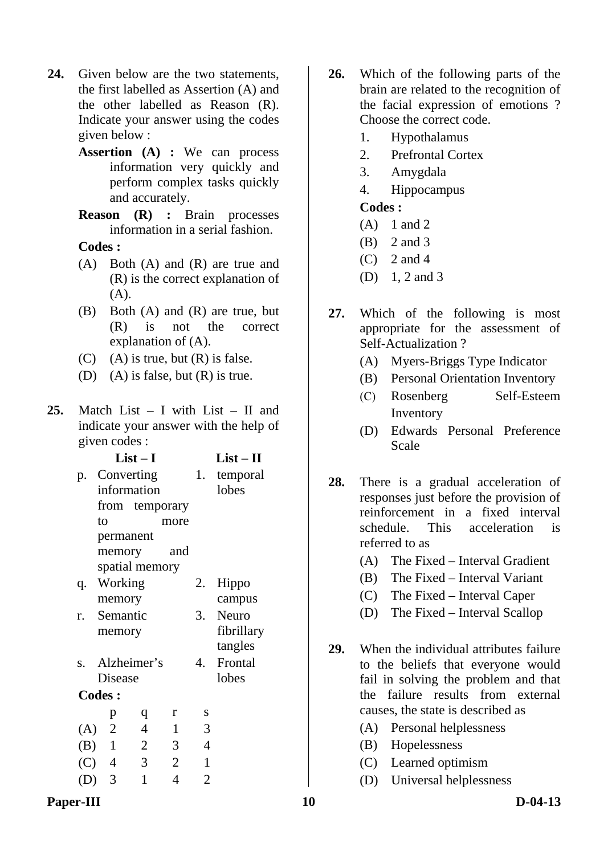- **24.** Given below are the two statements, the first labelled as Assertion (A) and the other labelled as Reason (R). Indicate your answer using the codes given below :
	- **Assertion (A) :** We can process information very quickly and perform complex tasks quickly and accurately.
	- **Reason (R) :** Brain processes information in a serial fashion.

- (A) Both (A) and (R) are true and (R) is the correct explanation of (A).
- (B) Both (A) and (R) are true, but (R) is not the correct explanation of (A).
- $(C)$  (A) is true, but  $(R)$  is false.
- (D) (A) is false, but  $(R)$  is true.
- **25.** Match List I with List II and indicate your answer with the help of given codes :

|               |    |           | $List-I$                |      |                |                | $List-II$  |
|---------------|----|-----------|-------------------------|------|----------------|----------------|------------|
| p.            |    |           | Converting              |      |                | 1.             | temporal   |
|               |    |           | information             |      |                |                | lobes      |
|               |    |           | from temporary          |      |                |                |            |
|               | to |           |                         | more |                |                |            |
|               |    | permanent |                         |      |                |                |            |
|               |    | memory    |                         |      | and            |                |            |
|               |    |           | spatial memory          |      |                |                |            |
| q.            |    | Working   |                         |      |                | 2.             | Hippo      |
|               |    | memory    |                         |      |                |                | campus     |
| r.            |    | Semantic  |                         |      |                |                | 3. Neuro   |
|               |    | memory    |                         |      |                |                | fibrillary |
|               |    |           |                         |      |                |                | tangles    |
|               |    |           | s. Alzheimer's          |      |                | 4.             | Frontal    |
|               |    | Disease   |                         |      |                |                | lobes      |
| <b>Codes:</b> |    |           |                         |      |                |                |            |
|               |    | p         | q                       | r    |                | S              |            |
|               |    | $(A)$ 2   | $\overline{4}$          |      | $\mathbf{1}$   | 3              |            |
| $(B)$ 1       |    |           | $\overline{2}$          |      | $\mathfrak{Z}$ | 4              |            |
| $(C)$ 4       |    |           | $\overline{\mathbf{3}}$ | 2    |                | 1              |            |
| $(D)$ 3       |    |           | $\mathbf{1}$            |      | $\overline{4}$ | $\overline{2}$ |            |

- **26.** Which of the following parts of the brain are related to the recognition of the facial expression of emotions ? Choose the correct code.
	- 1. Hypothalamus
	- 2. Prefrontal Cortex
	- 3. Amygdala
	- 4. Hippocampus

- (A) 1 and 2
- (B) 2 and 3
- $(C)$  2 and 4
- (D) 1, 2 and 3
- **27.** Which of the following is most appropriate for the assessment of Self-Actualization ?
	- (A) Myers-Briggs Type Indicator
	- (B) Personal Orientation Inventory
	- (C) Rosenberg Self-Esteem Inventory
	- (D) Edwards Personal Preference Scale
- **28.** There is a gradual acceleration of responses just before the provision of reinforcement in a fixed interval schedule. This acceleration is referred to as
	- (A) The Fixed Interval Gradient
	- (B) The Fixed Interval Variant
	- (C) The Fixed Interval Caper
	- (D) The Fixed Interval Scallop
- **29.** When the individual attributes failure to the beliefs that everyone would fail in solving the problem and that the failure results from external causes, the state is described as
	- (A) Personal helplessness
	- (B) Hopelessness
	- (C) Learned optimism
	- (D) Universal helplessness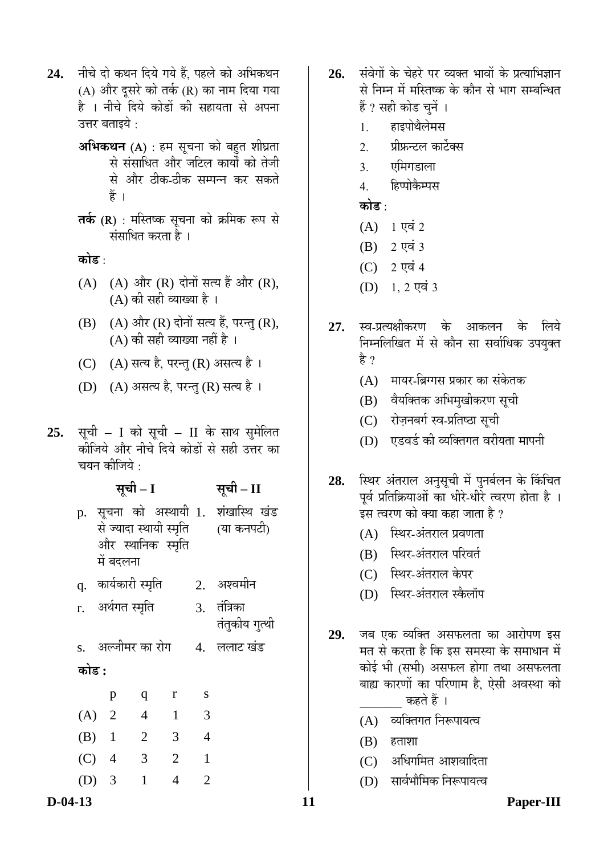- 24. नीचे दो कथन दिये गये हैं. पहले को अभिकथन (A) और दूसरे को तर्क (R) का नाम दिया गया है । नीचे दिये कोडों की सहायता से अपना उत्तर बताइये  $\cdot$ 
	- **अभिकथन (A)** : हम सूचना को बहुत शीघ्रता से संसाधित और जटिल कार्यों को तेजी से और ठीक-ठीक सम्पन्न कर सकते हें ।
	- **तर्क (R)** : मस्तिष्क सुचना को क्रमिक रूप से संसाधित करता है ।

<u>कोड़ ·</u>

- $(A)$   $(A)$  और  $(R)$  दोनों सत्य हैं और  $(R)$ ,  $(A)$  की सही व्याख्या है ।
- $(B)$   $(A)$  और  $(R)$  दोनों सत्य हैं, परन्तु  $(R)$ ,  $(A)$  की सही व्याख्या नहीं है ।
- (C) (A) सत्य है, परन्तु (R) असत्य है।
- (D) (A) असत्य है, परन्तु (R) सत्य है।
- 25. सूची I को सूची II के साथ सुमेलित कीजिये और नीचे दिये कोडों से सही उत्तर का चयन कीजिये $\, \cdot \,$

|       |                      | सूची – I                 |                   | सूची – II      |                                                                           |
|-------|----------------------|--------------------------|-------------------|----------------|---------------------------------------------------------------------------|
|       | में बदलना            |                          | और स्थानिक स्मृति |                | p. सूचना को अस्थायी 1. शंखास्थि खंड<br>से ज्यादा स्थायी स्मृति (या कनपटी) |
|       | q.  कार्यकारी स्मृति |                          |                   |                | 2. अश्वमीन                                                                |
|       | r. अर्थगत स्मृति     |                          |                   |                | 3. तंत्रिका<br>तंतुकीय गुत्थी                                             |
|       | s. अल्जीमर का रोग    |                          |                   |                | 4. ललाट खंड                                                               |
| कोड : |                      |                          |                   |                |                                                                           |
|       | p                    | q                        | r                 | S              |                                                                           |
|       | $(A)$ 2              | $\overline{\phantom{a}}$ | $\overline{1}$    | 3              |                                                                           |
|       | $(B)$ 1              | $\overline{2}$           | 3                 | $\overline{4}$ |                                                                           |
|       | $(C)$ 4              | 3                        | $\overline{2}$    | $\mathbf{1}$   |                                                                           |
|       | $(D)$ 3              | $\mathbf{1}$             | 4                 | 2              |                                                                           |

- 26. संवेगों के चेहरे पर व्यक्त भावों के प्रत्याभिज्ञान से निम्न में मस्तिष्क के कौन से भाग सम्बन्धित हैं ? सही कोड चुनें ।
	- 1. हाइपोथैलेमस
	- 2. प्रीफ्रन्टल कार्टेक्स
	- 3. एमिगडाला
	- 4. हिप्पोकैम्पस

**कोड़** ·

- $(A)$  1 एवं 2
- $(B)$  2 एवं 3
- $(C)$  2 एवं 4
- $(D)$  1, 2 एवं 3
- **27.** स्व-प्रत्यक्षीकरण के आकलन के लिये निम्नलिखित में से कौन सा सर्वाधिक उपयुक्त हे ?
	- $(A)$  ामायर-ब्रिग्गस प्रकार का संकेतक
	- (B) वैयक्तिक अभिमुखीकरण सुची
	- (C) रोज़नबर्ग स्व-प्रतिष्ठा सूची
	- $(D)$  एडवर्ड की व्यक्तिगत वरीयता मापनी
- 28. स्थिर अंतराल अनुसूची में पुनर्बलन के किंचित पूर्व प्रतिक्रियाओं का धीरे-धीरे त्वरण होता है । इस त्वरण को क्या कहा जाता है ?
	- $(A)$  स्थिर-अंतराल प्रवणता
	- (B) स्थिर-अंतराल परिवर्त
	- (C) स्थिर-अंतराल केपर
	- (D) स्थिर-अंतराल स्कैलॉप
- 2**9.** •जब एक व्यक्ति असफलता का आरोपण इस मत से करता है कि इस समस्या के समाधान में कोई भी (सभी) असफल होगा तथा असफलता बाह्य कारणों का परिणाम है, ऐसी अवस्था को कहते हैं ।
	- (A) व्यक्तिगत निरूपायत्व
	- $(B)$  हताशा
	- $(C)$  अधिगमित आशवादिता
	- (D) सार्वभौमिक निरूपायत्व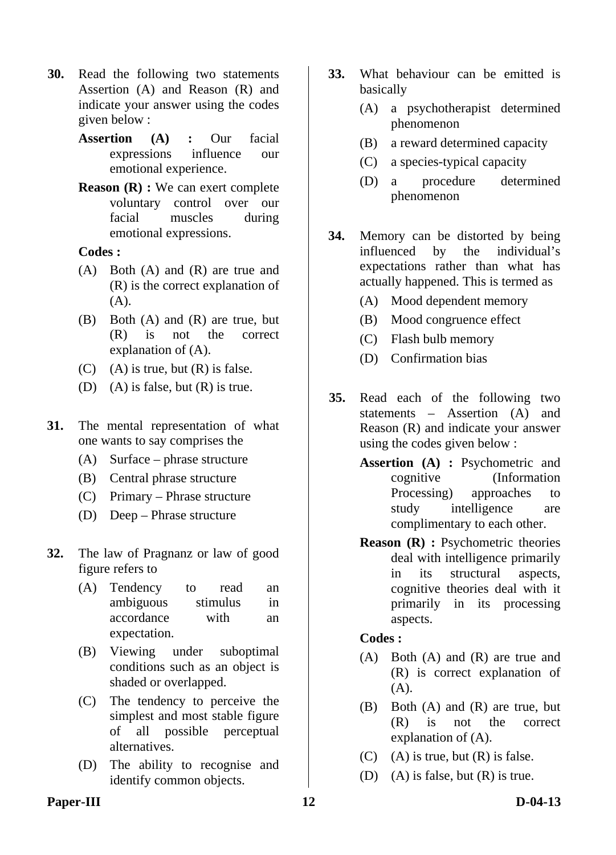- **30.** Read the following two statements Assertion (A) and Reason (R) and indicate your answer using the codes given below :
	- **Assertion (A) :** Our facial expressions influence our emotional experience.
	- **Reason (R) :** We can exert complete voluntary control over our facial muscles during emotional expressions.

- (A) Both (A) and (R) are true and (R) is the correct explanation of (A).
- (B) Both (A) and (R) are true, but (R) is not the correct explanation of (A).
- $(C)$  (A) is true, but  $(R)$  is false.
- (D) (A) is false, but (R) is true.
- **31.** The mental representation of what one wants to say comprises the
	- (A) Surface phrase structure
	- (B) Central phrase structure
	- (C) Primary Phrase structure
	- (D) Deep Phrase structure
- **32.** The law of Pragnanz or law of good figure refers to
	- (A) Tendency to read an ambiguous stimulus in accordance with an expectation.
	- (B) Viewing under suboptimal conditions such as an object is shaded or overlapped.
	- (C) The tendency to perceive the simplest and most stable figure of all possible perceptual alternatives.
	- (D) The ability to recognise and identify common objects.
- **33.** What behaviour can be emitted is basically
	- (A) a psychotherapist determined phenomenon
	- (B) a reward determined capacity
	- (C) a species-typical capacity
	- (D) a procedure determined phenomenon
- **34.** Memory can be distorted by being influenced by the individual's expectations rather than what has actually happened. This is termed as
	- (A) Mood dependent memory
	- (B) Mood congruence effect
	- (C) Flash bulb memory
	- (D) Confirmation bias
- **35.** Read each of the following two statements – Assertion (A) and Reason (R) and indicate your answer using the codes given below :
	- **Assertion (A) :** Psychometric and cognitive (Information Processing) approaches to study intelligence are complimentary to each other.
	- **Reason (R) :** Psychometric theories deal with intelligence primarily in its structural aspects, cognitive theories deal with it primarily in its processing aspects.

#### **Codes :**

- (A) Both (A) and (R) are true and (R) is correct explanation of  $(A)$ .
- (B) Both (A) and (R) are true, but (R) is not the correct explanation of (A).
- $(C)$  (A) is true, but  $(R)$  is false.
- (D) (A) is false, but  $(R)$  is true.

#### Paper-III **12** D-04-13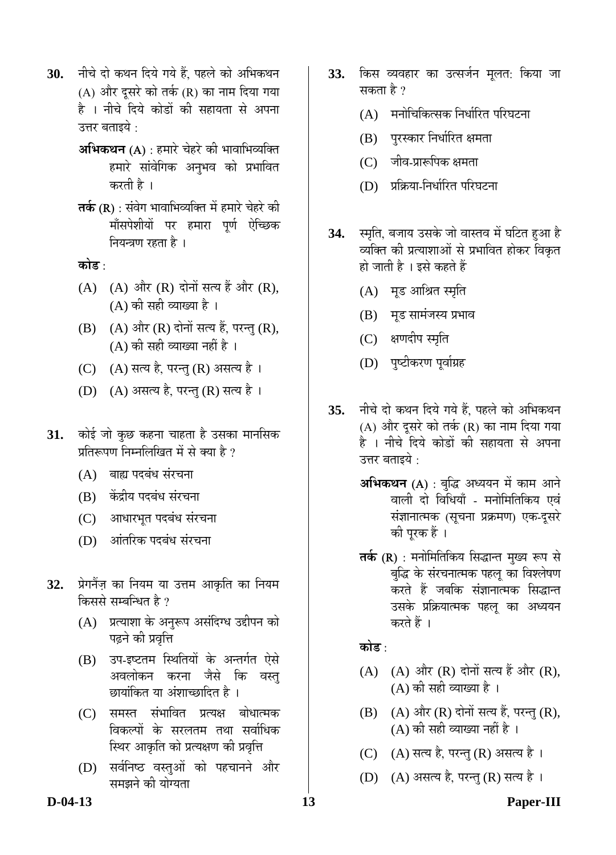- 30. नीचे दो कथन दिये गये हैं, पहले को अभिकथन (A) और दुसरे को तर्क (R) का नाम दिया गया है । नीचे दिये कोडों की सहायता से अपना उत्तर बताइये  $\cdot$ 
	- **अभिकथन (A)** : हमारे चेहरे की भावाभिव्यक्ति हमारे सांवेगिक अनुभव को प्रभावित करती है ।
	- **तर्क (R)** : संवेग भावाभिव्यक्ति में हमारे चेहरे की मॉंसपेशीयों पर हमारा पूर्ण ऐच्छिक नियन्त्रण रहता है ।

<u>कोड़ ·</u>

- $(A)$   $(A)$  और  $(R)$  दोनों सत्य हैं और  $(R)$ ,  $(A)$  की सही व्याख्या है।
- $(B)$   $(A)$  और  $(R)$  दोनों सत्य हैं, परन्तु  $(R)$ ,  $(A)$  की सही व्याख्या नहीं है ।
- (C) (A) सत्य है, परन्तु (R) असत्य है।
- (D) (A) असत्य है, परन्तु (R) सत्य है।
- **31.** कोई जो कुछ कहना चाहता है उसका मानसिक प्रतिरूपण निम्नलिखित में से क्या है ?
	- (A) बाह्य पदबंध संरचना
	- (B) केंद्रीय पदबंध संरचना
	- (C) आधारभूत पदबंध संरचना
	- (D) आंतरिक पदबंध संरचना
- 32. प्रेगनैंज़ का नियम या उत्तम आकृति का नियम किससे सम्बन्धित है ?
	- (A) प्रत्याशा के अनुरूप असंदिग्ध उद्दीपन को पढ़ने की प्रवृत्ति
	- (B) उप-इष्टतम स्थितियों के अन्तर्गत ऐसे अवलोकन करना जैसे कि वस्त् छायांकित या अंशाच्छादित है ।
	- (C) समस्त संभावित प्रत्यक्ष बोधात्मक विकल्पों के सरलतम तथा सर्वाधिक स्थिर आकृति को प्रत्यक्षण की प्रवृत्ति
	- (D) सर्वनिष्ठ वस्तुओं को पहचानने और समझने की योग्यता
- **33.** किस व्यवहार का उत्सर्जन मूलत: किया जा सकता है ?
	- $(A)$  विमाचिकित्सक निर्धारित परिघटना
	- (B) पुरस्कार निर्धारित क्षमता
	- (C) जीव-प्रारूपिक क्षमता
	- (D) प्रक्रिया-निर्धारित परिघटना
- 34. स्मृति, बजाय उसके जो वास्तव में घटित हुआ है व्यक्ति की प्रत्याशाओं से प्रभावित होकर विकृत हो जाती है । इसे कहते हैं
	- (A) मूड आश्रित स्मृति
	- (B) मुंड सामंजस्य प्रभाव
	- (C) क्षणदीप स्मृति
	- (D) पुष्टीकरण पूर्वाग्रह
- 35. नीचे दो कथन दिये गये हैं. पहले को अभिकथन (A) और दूसरे को तर्क (R) का नाम दिया गया है । नीचे दिये कोडों की सहायता से अपना उत्तर बताइये  $\cdot$ 
	- **अभिकथन** (A) : बुद्धि अध्ययन में काम आने वाली दो विधियाँ - मनोमितिकिय एवं संज्ञानात्मक (सूचना प्रक्रमण) एक-दूसरे की पूरक हैं ।
	- **तर्क (R)** : मनोमितिकिय सिद्धान्त मुख्य रूप से बद्धि के संरचनात्मक पहल का विश्लेषण करते हैं जबकि संज्ञानात्मक सिद्धान्त उसके प्रक्रियात्मक पहलू का अध्ययन करते हैं ।

<u>कोड :</u>

- $(A)$   $(A)$  और  $(R)$  दोनों सत्य हैं और  $(R)$ ,  $(A)$  की सही व्याख्या है।
- $(B)$   $(A)$  और  $(R)$  दोनों सत्य हैं, परन्तु  $(R)$ ,  $(A)$  की सही व्याख्या नहीं है ।
- (C) (A) सत्य है, परन्तु (R) असत्य है।
- (D) (A) असत्य है, परन्तु (R) सत्य है।

#### **D-04-13 13 Paper-III**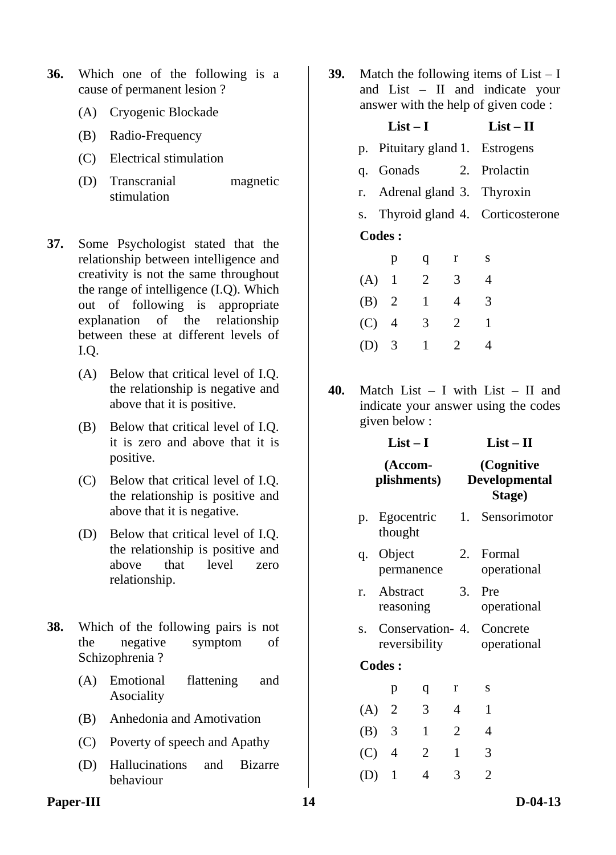- **36.** Which one of the following is a cause of permanent lesion ?
	- (A) Cryogenic Blockade
	- (B) Radio-Frequency
	- (C) Electrical stimulation
	- (D) Transcranial magnetic stimulation
- **37.** Some Psychologist stated that the relationship between intelligence and creativity is not the same throughout the range of intelligence (I.Q). Which out of following is appropriate explanation of the relationship between these at different levels of I.Q.
	- (A) Below that critical level of I.Q. the relationship is negative and above that it is positive.
	- (B) Below that critical level of I.Q. it is zero and above that it is positive.
	- (C) Below that critical level of I.Q. the relationship is positive and above that it is negative.
	- (D) Below that critical level of I.Q. the relationship is positive and above that level zero relationship.
- **38.** Which of the following pairs is not the negative symptom of Schizophrenia ?
	- (A) Emotional flattening and Asociality
	- (B) Anhedonia and Amotivation
	- (C) Poverty of speech and Apathy
	- (D) Hallucinations and Bizarre behaviour

**39.** Match the following items of List – I and List – II and indicate your ith the help of given code :

| answer with the help of given code : |           |                |                                 |                                    |  |  |  |  |
|--------------------------------------|-----------|----------------|---------------------------------|------------------------------------|--|--|--|--|
|                                      | $List-I$  | $List - II$    |                                 |                                    |  |  |  |  |
|                                      |           |                | p. Pituitary gland 1. Estrogens |                                    |  |  |  |  |
|                                      |           |                |                                 | q. Gonads 2. Prolactin             |  |  |  |  |
|                                      |           |                |                                 | r. Adrenal gland 3. Thyroxin       |  |  |  |  |
|                                      |           |                |                                 | s. Thyroid gland 4. Corticosterone |  |  |  |  |
| <b>Codes:</b>                        |           |                |                                 |                                    |  |  |  |  |
|                                      | p         | q              | r                               | S                                  |  |  |  |  |
| $(A)$ 1                              |           | $\overline{2}$ | 3 <sup>7</sup>                  | $\overline{4}$                     |  |  |  |  |
|                                      | (B) 2 1 4 |                |                                 | $\overline{\phantom{a}3}$          |  |  |  |  |
| $(C)$ 4                              |           | 3              | $\overline{2}$                  | $\mathbf{1}$                       |  |  |  |  |
| $(D)$ 3                              |           | $\mathbf{1}$   | $\overline{2}$                  |                                    |  |  |  |  |

**40.** Match List – I with List – II and indicate your answer using the codes given below :

|              |                          | $List-I$               |                   | $List-II$<br>(Cognitive<br><b>Developmental</b><br>Stage) |  |  |  |
|--------------|--------------------------|------------------------|-------------------|-----------------------------------------------------------|--|--|--|
|              |                          | (Accom-<br>plishments) |                   |                                                           |  |  |  |
|              | p. Egocentric<br>thought |                        |                   | 1. Sensorimotor                                           |  |  |  |
|              | q. Object                | permanence             | 2.                | Formal<br>operational                                     |  |  |  |
| $r_{\rm{m}}$ | Abstract<br>reasoning    |                        | 3.                | Pre<br>operational                                        |  |  |  |
| S.           |                          | reversibility          | Conservation - 4. | Concrete<br>operational                                   |  |  |  |
|              | <b>Codes:</b>            |                        |                   |                                                           |  |  |  |
|              | p                        | q                      | r                 | S                                                         |  |  |  |
|              | $(A)$ 2                  | 3                      | 4                 | 1                                                         |  |  |  |
|              | $(B)$ 3                  | $\mathbf{1}$           | $\overline{2}$    | 4                                                         |  |  |  |
|              | $(C)$ 4                  | 2                      | 1                 | 3                                                         |  |  |  |
| (D)          | $\mathbf{1}$             | 4                      | 3                 | $\overline{2}$                                            |  |  |  |

#### Paper-III **D-04-13**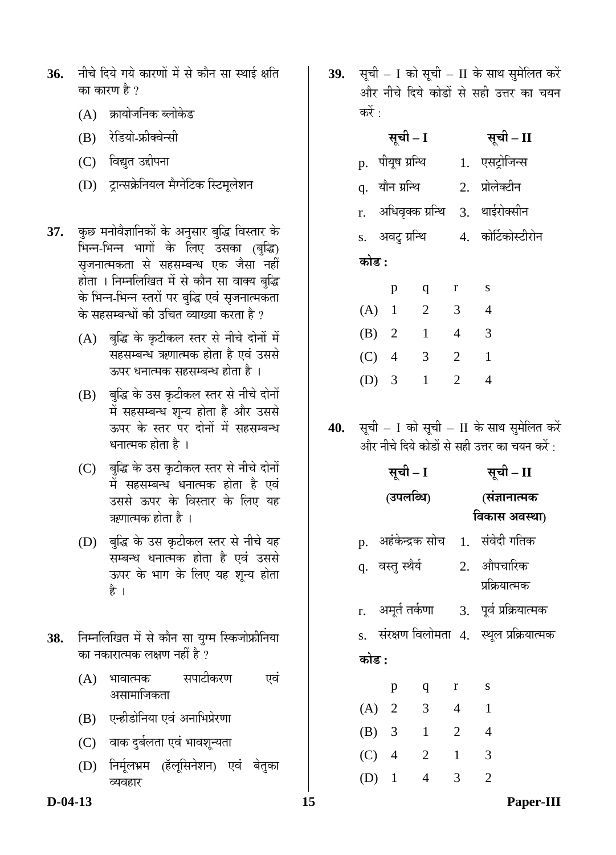- 36. नीचे दिये गये कारणों में से कौन सा स्थाई क्षति का कारण है ?
	- $(A)$  क्रायोजनिक ब्लोकेड
	- (B) रेडियो-फ्रीक्वेन्सी
	- (C) विद्युत उद्दीपना
	- (D) टान्सक्रेनियल मैग्नेटिक स्टिमलेशन
- 37. कुछ मनोवैज्ञानिकों के अनुसार बुद्धि विस्तार के भिन्न-भिन्न भागों के लिए उसका (बुद्धि) सृजनात्मकता से सहसम्बन्ध एक जैसा नहीं होता । निम्नलिखित में से कौन सा वाक्य बुद्धि के भिन्न-भिन्न स्तरों पर बुद्धि एवं सृजनात्मकता के सहसम्बन्धों की उचित व्याख्या करता है ?
	- $(A)$  बुद्धि के कृटीकल स्तर से नीचे दोनों में सहसम्बन्ध ऋणात्मक होता है एवं उससे ऊपर धनात्मक सहसम्बन्ध होता है ।
	- (B) बुद्धि के उस कृटीकल स्तर से नीचे दोनों में सहसम्बन्ध शुन्य होता है और उससे ऊपर के स्तर पर दोनों में सहसम्बन्ध धनात्मक होता है ।
	- (C) बुद्धि के उस कृटीकल स्तर से नीचे दोनों में सहसम्बन्ध धनात्मक होता है एवं उससे ऊपर के विस्तार के लिए यह ऋणात्मक होता है ।
	- (D) बुद्धि के उस कृटीकल स्तर से नीचे यह सम्बन्ध धनात्मक होता है एवं उससे ऊपर के भाग के लिए यह शून्य होता है ।
- 38. निम्नलिखित में से कौन सा युग्म स्किजोफ्रीनिया का नकारात्मक लक्षण नहीं है ?
	- (A) भावात्मक सपाटीकरण एवं असामाजिकता
	- (B) एन्हीडोनिया एवं अनाभिप्रेरणा
	- (C) वाक दुर्बलता एवं भावशून्यता
	- (D) निर्मूलभ्रम (हॅलूसिनेशन) एवं बेतुका व्यवहार

**39.** सूची – I को सूची – II के साथ सुमेलित करें और नीचे दिये कोडों से सही उत्तर का चयन करें :

|       | सूची – I          |                |                | सूची – II                         |
|-------|-------------------|----------------|----------------|-----------------------------------|
|       | p. पीयूष ग्रन्थि  |                |                | 1. एसट्रोजिन्स                    |
|       | q. यौन ग्रन्थि    |                |                | 2. प्रोलेक्टीन                    |
|       |                   |                |                | r. अधिवृक्क प्रन्थि 3. थाईरोक्सीन |
|       | s.   अवटु ग्रन्थि |                |                | 4. कोर्टिकोस्टीरोन                |
| कोड : |                   |                |                |                                   |
|       | p                 | $\mathbf{q}$   | $\mathbf{r}$   | S                                 |
|       | $(A)$ 1           | $\overline{2}$ | 3              | $\overline{4}$                    |
|       | (B) 2             | $\mathbf{1}$   | $\overline{4}$ | $\overline{3}$                    |
|       | $(C)$ 4           | 3              | 2              | $\mathbf{1}$                      |
| (D)   | 3                 | $\mathbf{1}$   | $\overline{2}$ | 4                                 |

**40.** सूची – I को सूची – II के साथ सुमेलित करें और नीचे दिये कोडों से सही उत्तर का चयन करें $\cdot$ 

|         | सूची – I         |                          | सूची – II      |                                   |                                               |  |
|---------|------------------|--------------------------|----------------|-----------------------------------|-----------------------------------------------|--|
|         | (उपलब्धि)        |                          |                |                                   | (संज्ञानात्मक                                 |  |
|         |                  |                          |                |                                   | विकास अवस्था)                                 |  |
|         |                  |                          |                | p. अहंकेन्द्रक सोच 1. संवेदी गतिक |                                               |  |
|         | q. वस्तु स्थैर्य |                          |                | 2. औपचारिक                        |                                               |  |
|         |                  |                          |                |                                   | प्रक्रियात्मक                                 |  |
|         |                  |                          |                |                                   | r. अमूर्त तर्कणा      3.  पूर्व प्रक्रियात्मक |  |
|         |                  |                          |                |                                   | s. संरक्षण विलोमता 4. स्थूल प्रक्रियात्मक     |  |
| कोड :   |                  |                          |                |                                   |                                               |  |
|         | p                | q                        | $r_{\rm}$      | ${\bf S}$                         |                                               |  |
| $(A)$ 2 |                  | $\overline{\phantom{a}}$ | $\overline{4}$ | $\overline{1}$                    |                                               |  |
|         | $(B)$ 3          | $\overline{1}$           | $\overline{2}$ | $\overline{4}$                    |                                               |  |
| $(C)$ 4 |                  | $\overline{2}$           | 1              | 3                                 |                                               |  |
| $(D)$ 1 |                  | 4                        | 3              | $\overline{2}$                    |                                               |  |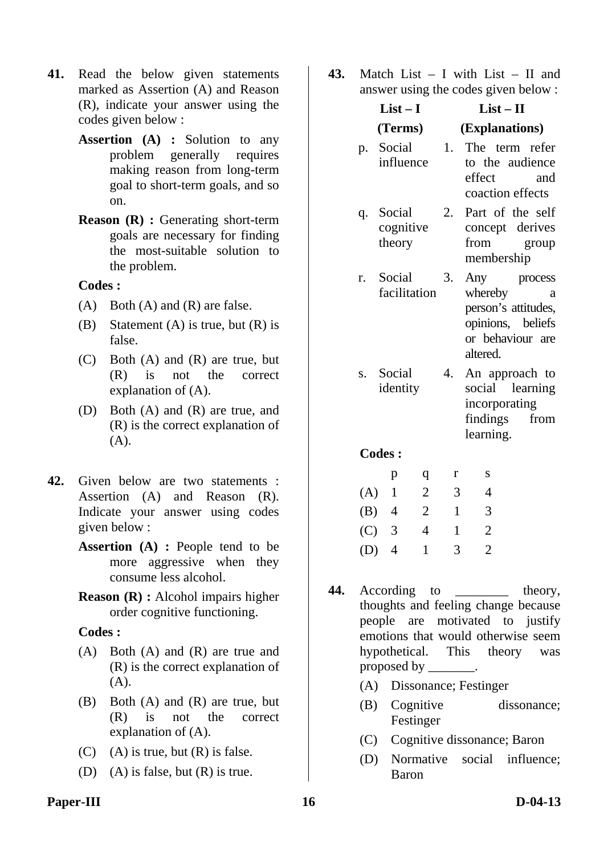- **41.** Read the below given statements marked as Assertion (A) and Reason (R), indicate your answer using the codes given below :
	- **Assertion (A) :** Solution to any problem generally requires making reason from long-term goal to short-term goals, and so on.
	- **Reason (R) :** Generating short-term goals are necessary for finding the most-suitable solution to the problem.

- $(A)$  Both  $(A)$  and  $(R)$  are false.
- (B) Statement (A) is true, but  $(R)$  is false.
- (C) Both (A) and (R) are true, but (R) is not the correct explanation of (A).
- (D) Both (A) and (R) are true, and (R) is the correct explanation of (A).
- **42.** Given below are two statements : Assertion (A) and Reason (R). Indicate your answer using codes given below :
	- **Assertion (A) :** People tend to be more aggressive when they consume less alcohol.
	- **Reason (R) :** Alcohol impairs higher order cognitive functioning.

#### **Codes :**

- (A) Both (A) and (R) are true and (R) is the correct explanation of (A).
- (B) Both (A) and (R) are true, but (R) is not the correct explanation of (A).
- $(C)$  (A) is true, but  $(R)$  is false.
- (D) (A) is false, but  $(R)$  is true.

**43.** Match List – I with List – II and answer using the codes given below :

|     | $List-I$              |                | $List - II$    |                                                                                                         |  |  |  |
|-----|-----------------------|----------------|----------------|---------------------------------------------------------------------------------------------------------|--|--|--|
|     |                       | (Terms)        | (Explanations) |                                                                                                         |  |  |  |
|     | p. Social             | influence      | 1.             | The term refer<br>to the audience<br>effect<br>and<br>coaction effects                                  |  |  |  |
|     | q. Social<br>theory   | cognitive      | 2.             | Part of the self<br>concept derives<br>from<br>group<br>membership                                      |  |  |  |
| r.  | Social                | facilitation   | 3.             | Any process<br>whereby<br>a<br>person's attitudes,<br>opinions, beliefs<br>or behaviour are<br>altered. |  |  |  |
|     | s. Social<br>identity |                | 4.             | An approach to<br>social learning<br>incorporating<br>findings<br>from<br>learning.                     |  |  |  |
|     | <b>Codes:</b>         |                |                |                                                                                                         |  |  |  |
|     | p                     | q              | r              | S                                                                                                       |  |  |  |
| (A) | $\mathbf{1}$          | $\overline{c}$ | 3              | 4                                                                                                       |  |  |  |
| (B) | 4                     | $\mathfrak{2}$ | $\mathbf{1}$   | 3                                                                                                       |  |  |  |
| (C) | 3                     | $\overline{4}$ | 1              | $\overline{2}$                                                                                          |  |  |  |

44. According to theory, thoughts and feeling change because people are motivated to justify emotions that would otherwise seem hypothetical. This theory was proposed by \_\_\_\_\_\_\_.

(D) 4 1 3 2

- (A) Dissonance; Festinger
- (B) Cognitive dissonance; Festinger
- (C) Cognitive dissonance; Baron
- (D) Normative social influence; Baron

#### Paper-III **D-04-13**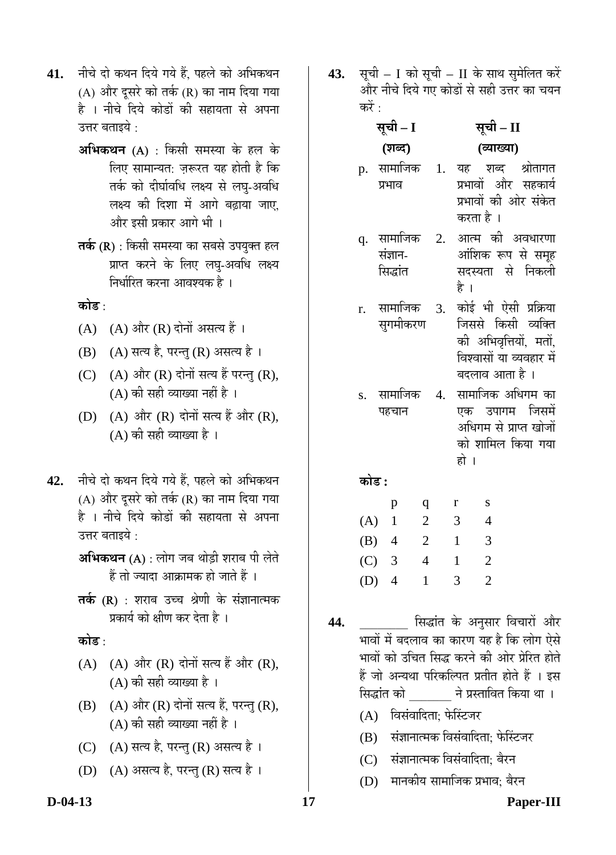- 41. नीचे दो कथन दिये गये हैं, पहले को अभिकथन (A) और दुसरे को तर्क (R) का नाम दिया गया है । नीचे दिये कोडों की सहायता से अपना उत्तर बताइये  $\cdot$ 
	- **अभिकथन** (A) : किसी समस्या के हल के लिए सामान्यत: जरूरत यह होती है कि तर्क को दीर्घावधि लक्ष्य से लघ्-अवधि लक्ष्य की दिशा में आगे बढाया जाए. और इसी प्रकार आगे भी ।
	- **तर्क (R)** : किसी समस्या का सबसे उपयुक्त हल प्राप्त करने के लिए लघ-अवधि लक्ष्य निर्धारित करना आवश्यक है ।

<u>कोड़ ·</u>

- (A)  $(A)$  और (R) दोनों असत्य हैं।
- (B) (A) सत्य है, परन्तु (R) असत्य है।
- (C)  $(A)$  और  $(R)$  दोनों सत्य हैं परन्तु (R),  $(A)$  की सही व्याख्या नहीं है।
- $(D)$   $(A)$  और  $(R)$  दोनों सत्य हैं और  $(R)$ ,  $(A)$  की सही व्याख्या है।
- 42. नीचे दो कथन दिये गये हैं. पहले को अभिकथन (A) और दूसरे को तर्क (R) का नाम दिया गया है । नीचे दिये कोडों की सहायता से अपना उत्तर बताइये  $\cdot$

**अभिकथन (A)** : लोग जब थोडी शराब पी लेते हैं तो ज्यादा आक्रामक हो जाते हैं ।

**तर्क (R)** : शराब उच्च श्रेणी के संज्ञानात्मक प्रकार्य को क्षीण कर देता है ।

<u>कोड़ ·</u>

- $(A)$   $(A)$  और  $(R)$  दोनों सत्य हैं और  $(R)$ . (A) की सही व्याख्या है ।
- $(B)$   $(A)$  और  $(R)$  दोनों सत्य हैं, परन्तु  $(R)$ ,  $(A)$  की सही व्याख्या नहीं है ।
- (C) (A) सत्य है, परन्तु (R) असत्य है।
- (D) (A) असत्य है, परन्तु (R) सत्य है।
- **43.** सूची I को सूची II के साथ सुमेलित करें और नीचे दिये गए कोडों से सही उत्तर का चयन करें :
	- <u>सूची I</u> **(¿Ö²¤ü)**  <u>सूची – II</u> **(¾µÖÖܵÖÖ)**
	- p. सामाजिक प्रभाव 1. यह शब्द श्रोतागत प्रभावों और सहकार्य प्रभावों की ओर संकेत करता है ।
	- q. सामाजिक संज्ञान-सिद्धांत 2. आत्म की अवधारणा आंशिक रूप से समूह सदस्यता से निकली है ।
	- r. सामाजिक सुगमीकरण 3. कोई भी ऐसी प्रक्रिया जिससे किसी व्यक्ति की अभिवृत्तियों, मतों, विश्वासों या व्यवहार में
	- s. सामाजिक पहचान 4. सामाजिक अधिगम का एक उपागम जिसमें अधिगम से प्राप्त खोजों को शामिल किया गया हो ।

बदलाव आता है ।

<u>कोड :</u>

|         | р              | q | r | S |
|---------|----------------|---|---|---|
| (A)     |                | 2 | 3 | 4 |
| (B)     | $\overline{4}$ | 2 | 1 | 3 |
| $(C)$ 3 |                | 4 | 1 | 2 |
| (D)     | $\overline{4}$ | 1 | 3 | 2 |

- <mark>44.</mark> \_\_\_\_\_\_\_ सिद्धांत के अनुसार विचारों और भावों में बदलाव का कारण यह है कि लोग ऐसे भावों को उचित सिद्ध करने की ओर प्रेरित होते हैं जो अन्यथा परिकल्पित प्रतीत होते हैं । इस सिद्धांत को ने प्रस्तावित किया था ।
	- (A) विसंवादिता: फेस्टिजर
	- (B) संज्ञानात्मक विसंवादिता: फेस्टिंजर
	- (C) संज्ञानात्मक विसंवादिता: बैरन
	- (D) मानकीय सामाजिक प्रभाव: बैरन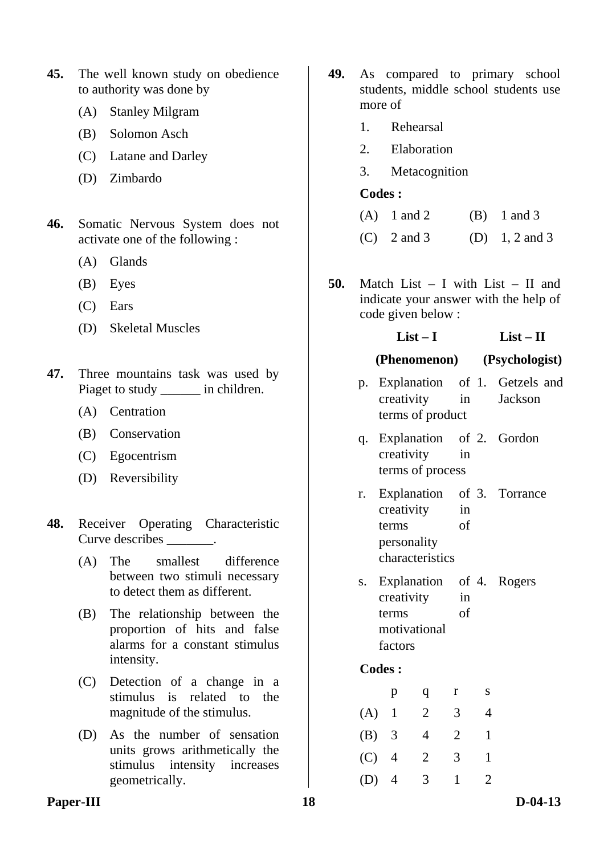- **45.** The well known study on obedience to authority was done by
	- (A) Stanley Milgram
	- (B) Solomon Asch
	- (C) Latane and Darley
	- (D) Zimbardo
- **46.** Somatic Nervous System does not activate one of the following :
	- (A) Glands
	- (B) Eyes
	- (C) Ears
	- (D) Skeletal Muscles
- **47.** Three mountains task was used by Piaget to study in children.
	- (A) Centration
	- (B) Conservation
	- (C) Egocentrism
	- (D) Reversibility
- **48.** Receiver Operating Characteristic Curve describes \_\_\_\_\_\_.
	- (A) The smallest difference between two stimuli necessary to detect them as different.
	- (B) The relationship between the proportion of hits and false alarms for a constant stimulus intensity.
	- (C) Detection of a change in a stimulus is related to the magnitude of the stimulus.
	- (D) As the number of sensation units grows arithmetically the stimulus intensity increases geometrically.
- **49.** As compared to primary school students, middle school students use more of
	- 1. Rehearsal
	- 2. Elaboration
	- 3. Metacognition

- (A)  $1$  and  $2$  (B)  $1$  and  $3$
- (C)  $2 \text{ and } 3$  (D)  $1, 2 \text{ and } 3$
- **50.** Match List I with List II and indicate your answer with the help of code given below :

#### **List – I List – II**

#### **(Phenomenon) (Psychologist)**

- p. Explanation of creativity in terms of product Getzels and Jackson
- q. Explanation creativity in terms of process 2. Gordon
- r. Explanation creativity in terms of personality characteristics 3. Torrance
- s. Explanation creativity in terms of motivational factors 4. Rogers

### **Codes :**

|     | р              | q | r | S |
|-----|----------------|---|---|---|
| (A) | -1             | 2 | 3 | 4 |
| (B) | 3              | 4 | 2 |   |
| (C) | $\overline{4}$ | 2 | 3 |   |
| (D) | $\overline{4}$ | 3 |   | 2 |

#### Paper-III **18** D-04-13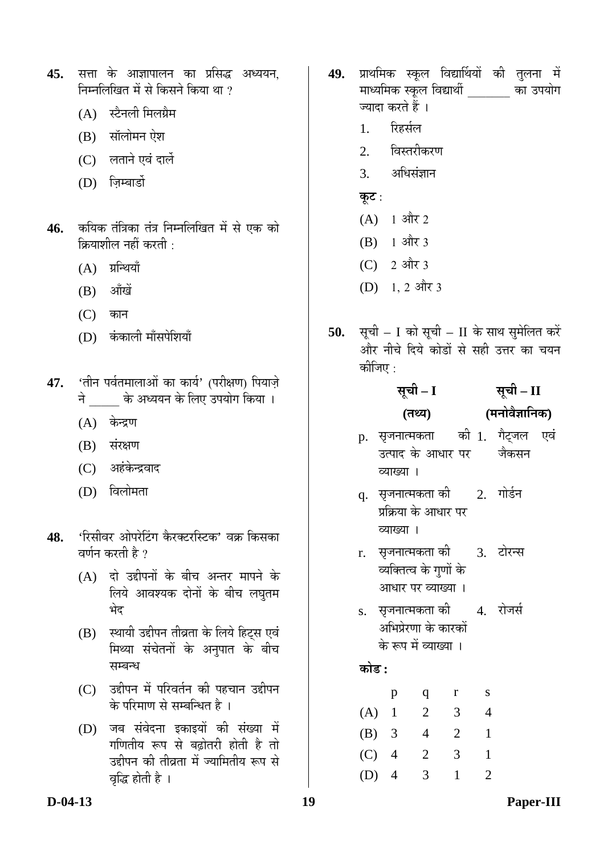- 45. सत्ता के आज्ञापालन का प्रसिद्ध अध्ययन, निम्नलिखित में से किसने किया था ?
	- $(A)$  स्टैनली मिलग्रैम
	- $(B)$  सॉलोमन ऐश
	- (C) लताने एवं दार्ले
	- (D) जिम्बार्डो
- 46. कयिक तंत्रिका तंत्र निम्नलिखित में से एक को क्रियाशील नहीं करती $\,$ :
	- $(A)$  ग्रन्थियाँ
	- $(B)$  औंखें
	- $(C)$  कान
	- (D) कंकाली माँसपेशियाँ
- 47. 'तीन पर्वतमालाओं का कार्य' (परीक्षण) पियाज़े ने के अध्ययन के लिए उपयोग किया ।
	- $(A)$  केन्द्रण
	- $(B)$  संरक्षण
	- (C) अहंकेन्द्रवाद
	- (D) विलोमता
- 48. 'रिसीवर ओपरेटिंग कैरक्टरस्टिक' वक्र किसका वर्णन करती है ?
	- (A) दो उद्दीपनों के बीच अन्तर मापने के लिये आवश्यक दोनों के बीच लघुतम भेट
	- (B) स्थायी उद्दीपन तीव्रता के लिये हिट्स एवं मिथ्या संचेतनों के अनुपात के बीच सम्बन्ध
	- (C) उद्दीपन में परिवर्तन की पहचान उद्दीपन के परिमाण से सम्बन्धित है ।
	- (D) जब संवेदना इकाइयों की संख्या में गणितीय रूप से बढोतरी होती है तो उद्दीपन की तीव्रता में ज्यामितीय रूप से वृद्धि होती है ।
- 49. प्राथमिक स्कूल विद्यार्थियों की तुलना में माध्यमिक स्कूल विद्यार्थी का उपयोग ज्यादा करते हैं ।
	- 1. रिहर्सल
	- 2. विस्तरीकरण
	- 3. अधिसंज्ञान
	- <u>क</u>ट :
	- $(A)$  1 और 2
	- $(B)$  1 और 3
	- $(C)$  2 और 3
	- $(D)$  1, 2 और 3
- **50.** सूची I को सूची II के साथ सुमेलित करें ओर नीचे दिये कोडों से सही उत्तर का चयन कीजिए  $\cdot$

#### <u>सूची – I</u> **(ŸÖ£µÖ) सूची – II (´Ö®ÖÖê¾Öî–ÖÖ×®ÖÛú)**

- p. सृजनात्मकता उत्पाद के आधार पर व्याख्या । की 1. गैट्जल एवं जेकसन
- q. सृजनात्मकता की प्रक्रिया के आधार पर व्याख्या । 2. गोर्डन
- r. सजनात्मकता की व्यक्तित्व के गुणों के आधार पर व्याख्या । 3. टोरन्स
- $\,$ s.  $\,$  सृजनात्मकता की अभिप्रेरणा के कारकों के रूप में व्याख्या । 4. रोजर्स

### <u>कोड :</u>

|     | р              | q              | r | S |
|-----|----------------|----------------|---|---|
| (A) | 1              | 2              | 3 | 4 |
| (B) | $\overline{3}$ | $\overline{4}$ | 2 |   |
| (C) | $\overline{4}$ | 2              | 3 |   |
| (D) | $\overline{4}$ | 3              |   | 2 |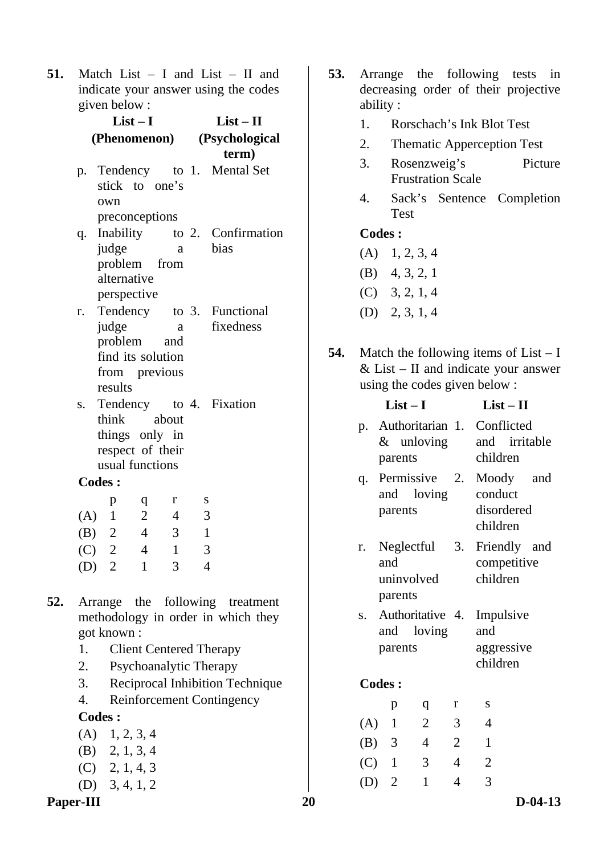**51.** Match List – I and List – II and indicate your answer using the codes given below :

|    | $List-I$         |                   |                |                         | $List - II$              |                                    |  |
|----|------------------|-------------------|----------------|-------------------------|--------------------------|------------------------------------|--|
|    |                  | (Phenomenon)      |                |                         |                          | (Psychological<br>term)            |  |
|    | p.               |                   |                |                         |                          | Tendency to 1. Mental Set          |  |
|    |                  | stick to one's    |                |                         |                          |                                    |  |
|    |                  | own               |                |                         |                          |                                    |  |
|    |                  | preconceptions    |                |                         |                          |                                    |  |
|    | q.               |                   |                |                         |                          | Inability to 2. Confirmation       |  |
|    |                  | judge             |                | a                       |                          | bias                               |  |
|    |                  | problem from      |                |                         |                          |                                    |  |
|    |                  | alternative       |                |                         |                          |                                    |  |
|    |                  | perspective       |                |                         |                          |                                    |  |
|    |                  |                   |                |                         |                          | r. Tendency to 3. Functional       |  |
|    |                  | judge             |                | a                       |                          | fixedness                          |  |
|    |                  | problem and       |                |                         |                          |                                    |  |
|    |                  | find its solution |                |                         |                          |                                    |  |
|    |                  | from previous     |                |                         |                          |                                    |  |
|    |                  | results           |                |                         |                          |                                    |  |
|    | S.               |                   |                |                         |                          | Tendency to 4. Fixation            |  |
|    |                  | think             |                | about                   |                          |                                    |  |
|    |                  | things only in    |                |                         |                          |                                    |  |
|    |                  | respect of their  |                |                         |                          |                                    |  |
|    |                  | usual functions   |                |                         |                          |                                    |  |
|    |                  | <b>Codes:</b>     |                |                         |                          |                                    |  |
|    |                  | p                 | q              | r                       | S                        |                                    |  |
|    |                  | (A) 1             | $\overline{2}$ | $\overline{4}$          | $\overline{\phantom{a}}$ |                                    |  |
|    |                  | (B) 2             | $\overline{4}$ | $\overline{\mathbf{3}}$ | $\overline{1}$           |                                    |  |
|    |                  | $(C)$ 2           | $\overline{4}$ | $\overline{1}$          | 3                        |                                    |  |
|    |                  | $(D)$ 2           | $\mathbf{1}$   | 3                       | $\overline{4}$           |                                    |  |
|    |                  |                   |                |                         |                          |                                    |  |
| 52 |                  |                   |                |                         |                          | Arrange the following treatment    |  |
|    |                  |                   |                |                         |                          | methodology in order in which they |  |
|    |                  | got known:        |                |                         |                          |                                    |  |
|    | 1.               |                   |                |                         |                          | <b>Client Centered Therapy</b>     |  |
|    | 2.               |                   |                |                         |                          | Psychoanalytic Therapy             |  |
|    | 3.               |                   |                |                         |                          | Reciprocal Inhibition Technique    |  |
|    | $\overline{4}$ . |                   |                |                         |                          | <b>Reinforcement Contingency</b>   |  |
|    |                  | <b>Codes:</b>     |                |                         |                          |                                    |  |
|    |                  |                   |                |                         |                          |                                    |  |
|    |                  | $(A)$ 1, 2, 3, 4  |                |                         |                          |                                    |  |

- (B) 2, 1, 3, 4
- (C) 2, 1, 4, 3
- (D) 3, 4, 1, 2
- Paper-III 20 D-04-13
- **53.** Arrange the following tests in decreasing order of their projective ability :
	- 1. Rorschach's Ink Blot Test
	- 2. Thematic Apperception Test
	- 3. Rosenzweig's Picture Frustration Scale
	- 4. Sack's Sentence Completion Test

- $(A)$  1, 2, 3, 4
- (B) 4, 3, 2, 1
- (C) 3, 2, 1, 4
- (D) 2, 3, 1, 4
- **54.** Match the following items of List I  $& List - II$  and indicate your answer using the codes given below :

|            | $List-I$       | $List-II$                  |                |                                                          |     |
|------------|----------------|----------------------------|----------------|----------------------------------------------------------|-----|
| p.         | parents        | $&$ unloving               |                | Authoritarian 1. Conflicted<br>and irritable<br>children |     |
| q.         | parents        | Permissive<br>and loving   | 2.             | Moody<br>conduct<br>disordered<br>children               | and |
| r.         | and<br>parents | Neglectful<br>uninvolved   | 3.             | Friendly and<br>competitive<br>children                  |     |
| $S_{\tau}$ | and<br>parents | Authoritative 4.<br>loving |                | Impulsive<br>and<br>aggressive<br>children               |     |
|            | <b>Codes:</b>  |                            |                |                                                          |     |
|            | p              | q                          | r              | S                                                        |     |
|            | $(A)$ 1        | $\overline{2}$             | 3              | 4                                                        |     |
|            | $(B)$ 3        | 4                          | $\overline{2}$ | 1                                                        |     |
|            | $(C)$ 1        | 3                          | 4              | $\overline{2}$                                           |     |
| (D)        | $\overline{2}$ | 1                          | 4              | 3                                                        |     |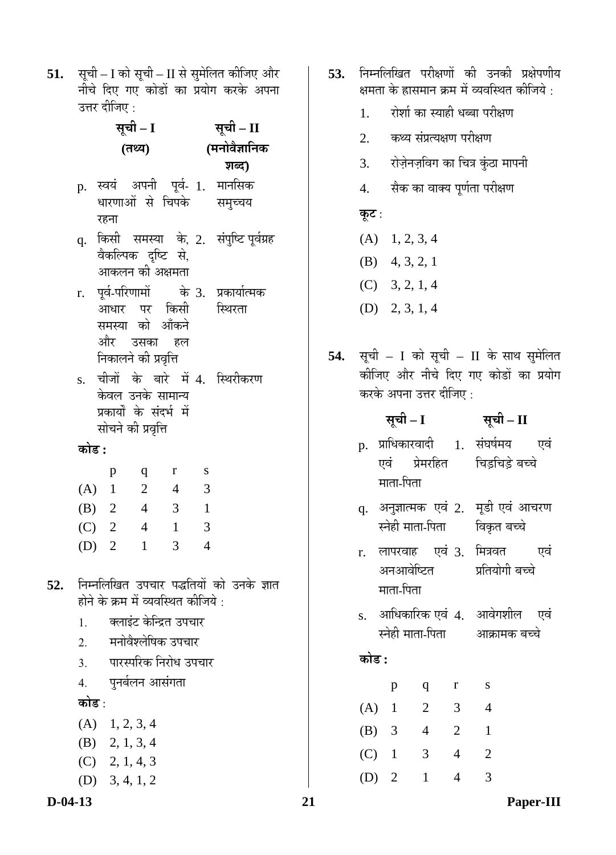**51.** सूची – I को सूची – II से सुमेलित कीजिए और नीचे दिए गए कोडों का प्रयोग करके अपना उत्तर दीजिए :

| (मनोवैज्ञानिक<br>(तथ्य)<br>शब्द)<br>p. स्वयं अपनी पूर्व- 1. मानसिक<br>धारणाओं से चिपके समुच्चय<br>रहना                   |  |
|--------------------------------------------------------------------------------------------------------------------------|--|
|                                                                                                                          |  |
|                                                                                                                          |  |
| q. किसी समस्या के, 2. संपुष्टि <i>पू</i> र्वग्रह<br>वैकल्पिक दृष्टि से,<br>आकलन की अक्षमता                               |  |
| r. पूर्व-परिणामों   के 3. प्रकार्यात्मक<br>आधार पर किसी स्थिरता<br>समस्या को आँकने<br>और उसका हल<br>निकालने की प्रवृत्ति |  |
| चीजों के बारे में 4. स्थिरीकरण<br>S.<br>केवल उनके सामान्य<br>प्रकार्यों के संदर्भ में<br>सोचने की प्रवृत्ति              |  |
| कोड :                                                                                                                    |  |
| $\mathbf{r}$<br>S<br>q<br>p                                                                                              |  |
| $\overline{2}$<br>(A) 1<br>$\overline{4}$<br>3                                                                           |  |
| (B) 2 4 3<br>$\blacksquare$                                                                                              |  |
| $(C)$ 2 4<br>$\overline{1}$<br>$\overline{\mathbf{3}}$                                                                   |  |
| $\overline{4}$<br>$(D)$ 2<br>$\mathbf{1}$<br>3 <sup>1</sup>                                                              |  |
| निम्नलिखित उपचार पद्धतियों को उनके ज्ञात<br>52.<br>होने के क्रम में व्यवस्थित कीजिये :<br>क्लाइंट केन्द्रित उपचार<br>1.  |  |
| मनोवैश्लेषिक उपचार<br>2.<br>पारस्परिक निरोध उपचार<br>3.<br>पुनर्बलन आसंगता<br>$\overline{4}$ .<br>कोड :                  |  |
| $(A)$ 1, 2, 3, 4<br>$(B)$ 2, 1, 3, 4                                                                                     |  |

- (D) 3, 4, 1, 2
- 
- **53.** निम्नलिखित परीक्षणों की उनकी प्रक्षेपणीय क्षमता के ह्रासमान क्रम में व्यवस्थित कीजिये :
	- 1. रोशी का स्याही धब्बा परीक्षण
	- 2. कथ्य संप्रत्यक्षण परीक्षण
	- 3. रोज़ेनज़विग का चित्र कुंठा मापनी
	- 4. सैक का वाक्य पूर्णता परीक्षण

### **कूट** :

- $(A)$  1, 2, 3, 4
- (B) 4, 3, 2, 1
- (C) 3, 2, 1, 4
- (D) 2, 3, 1, 4
- 54. सूची I को सूची II के साथ सुमेलित कीजिए और नीचे दिए गए कोडों का प्रयोग करके अपना उत्तर दीजिए :

#### **ÃÖæ"Öß – I ÃÖæ"Öß – II**  p. प्राधिकारवादी 1. संघर्षमय एवं एवं प्रेमरहित माता-पिता चिड़चिड़े बच्चे

- $\rm q$ . अनुज्ञात्मक एवं 2. मूडी एवं आचरण स्नेही माता-पिता विकृत बच्चे
- r. लापरवाह एवं 3. मित्रवत एवं अनआवेष्टित माता-पिता प्रतियोगी बच्चे
- s. आधिकारिक एवं 4. आवेगशील एवं स्नेही माता-पिता आक्रामक बच्चे

## <u>कोड़ :</u>

|         | р              | q | r | S |
|---------|----------------|---|---|---|
| $(A)$ 1 |                | 2 | 3 | 4 |
| (B)     | $\overline{3}$ | 4 | 2 |   |
|         | $(C)$ 1        | 3 | 4 | 2 |
| (D)     | $\overline{2}$ | 1 |   |   |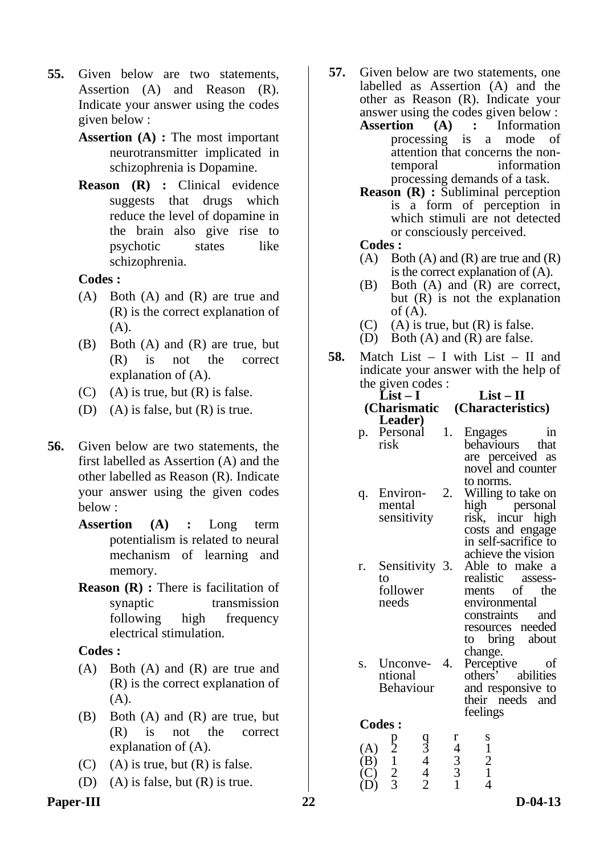- **55.** Given below are two statements, Assertion (A) and Reason (R). Indicate your answer using the codes given below :
	- **Assertion (A) :** The most important neurotransmitter implicated in schizophrenia is Dopamine.
	- **Reason (R) :** Clinical evidence suggests that drugs which reduce the level of dopamine in the brain also give rise to psychotic states like schizophrenia.

- (A) Both (A) and (R) are true and (R) is the correct explanation of (A).
- (B) Both (A) and (R) are true, but (R) is not the correct explanation of (A).
- $(C)$  (A) is true, but  $(R)$  is false.
- (D) (A) is false, but  $(R)$  is true.
- **56.** Given below are two statements, the first labelled as Assertion (A) and the other labelled as Reason (R). Indicate your answer using the given codes below :
	- **Assertion (A) :** Long term potentialism is related to neural mechanism of learning and memory.
	- **Reason (R) :** There is facilitation of synaptic transmission following high frequency electrical stimulation.

#### **Codes :**

- (A) Both (A) and (R) are true and (R) is the correct explanation of (A).
- (B) Both (A) and (R) are true, but (R) is not the correct explanation of (A).
- $(C)$  (A) is true, but  $(R)$  is false.
- (D) (A) is false, but (R) is true.
- Paper-III 22 D-04-13
- **57.** Given below are two statements, one labelled as Assertion (A) and the other as Reason (R). Indicate your answer using the codes given below :
	- **Assertion (A) :** Information processing is a mode of attention that concerns the nontemporal information processing demands of a task.
	- **Reason (R) :** Subliminal perception is a form of perception in which stimuli are not detected or consciously perceived.

**Codes :** 

- $(A)$  Both  $(A)$  and  $(R)$  are true and  $(R)$ is the correct explanation of (A).
- (B) Both (A) and (R) are correct, but (R) is not the explanation of  $(A)$ .
- $(C)$  (A) is true, but  $(R)$  is false.
- (D) Both (A) and (R) are false.
- **58.** Match List I with List II and indicate your answer with the help of the given  $code$ s  $\cdot$

|    | $\mu$ . The given could $\mu$ |                  |                                   |  |  |  |  |
|----|-------------------------------|------------------|-----------------------------------|--|--|--|--|
|    | $List-I$                      |                  | $List-II$                         |  |  |  |  |
|    | (Charismatic                  |                  | (Characteristics)                 |  |  |  |  |
|    | Leader)                       |                  |                                   |  |  |  |  |
|    | p. Personal                   | $\overline{1}$ . | <b>Engages</b><br>1n              |  |  |  |  |
|    | risk                          |                  | behaviours that                   |  |  |  |  |
|    |                               |                  | are perceived as                  |  |  |  |  |
|    |                               |                  | novel and counter                 |  |  |  |  |
|    |                               |                  | to norms.                         |  |  |  |  |
| q. | Environ-                      | 2.               | Willing to take on                |  |  |  |  |
|    | mental                        |                  | high personal<br>risk, incur high |  |  |  |  |
|    | sensitivity                   |                  |                                   |  |  |  |  |
|    |                               |                  | costs and engage                  |  |  |  |  |
|    |                               |                  | in self-sacrifice to              |  |  |  |  |
|    |                               |                  | achieve the vision                |  |  |  |  |
| r. | Sensitivity 3.                |                  | Able to make a                    |  |  |  |  |
|    | to                            |                  | realistic assess-                 |  |  |  |  |
|    | follower                      |                  | ments of the                      |  |  |  |  |
|    | needs                         |                  | environmental                     |  |  |  |  |
|    |                               |                  | constraints and                   |  |  |  |  |
|    |                               |                  | resources needed                  |  |  |  |  |
|    |                               |                  | to bring about                    |  |  |  |  |
|    |                               |                  | change.                           |  |  |  |  |
| S. | Unconve- 4.                   |                  | Perceptive<br>οf                  |  |  |  |  |
|    | ntional                       |                  | others' abilities                 |  |  |  |  |
|    | <b>Behaviour</b>              |                  | and responsive to                 |  |  |  |  |
|    |                               |                  | their needs and                   |  |  |  |  |

feelings

|     | p              | q |   |                |
|-----|----------------|---|---|----------------|
| (A) | $\overline{2}$ | 3 | 1 |                |
| (B) |                | 1 | 3 | $\overline{2}$ |
| (C) | 2              |   | 3 |                |
| (D) |                |   |   |                |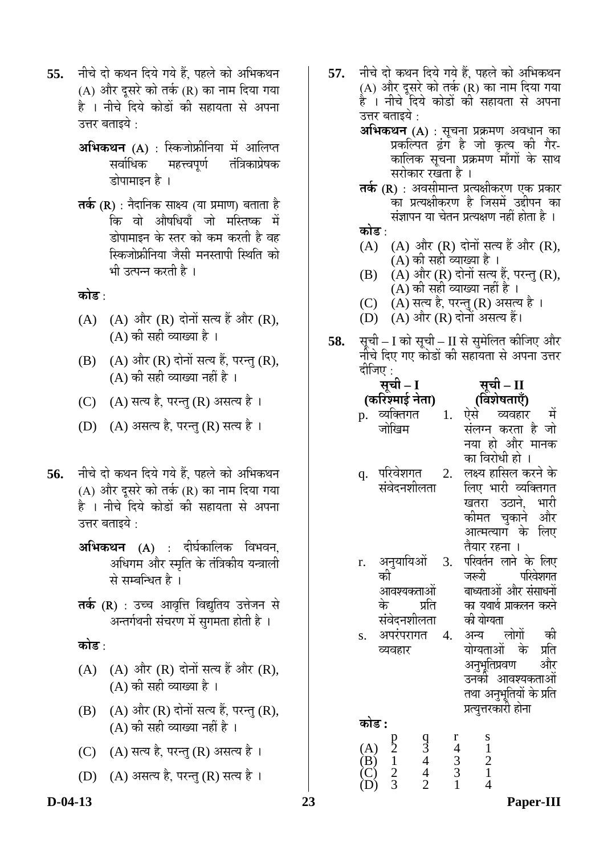- **55.** नीचे दो कथन दिये गये हैं, पहले को अभिकथन (A) और दूसरे को तर्क (R) का नाम दिया गया है । नीचे दिये कोडों की सहायता से अपना उत्तर बताइये :
	- **अभिकथन (A)** : स्किजोफ्रीनिया में आलिप्त सर्वाधिक महत्त्वपूर्ण तंत्रिकाप्रेषक डोपामाइन है ।
	- **तर्क (R)** : नैदानिक साक्ष्य (या प्रमाण) बताता है कि वो औषधियाँ जो मस्तिष्क में डोपामाइन के स्तर को कम करती है वह स्किजोफ्रीनिया जैसी मनस्तापी स्थिति को भी उत्पन्न करती है ।

**कोड** :

- $(A)$   $(A)$  और  $(R)$  दोनों सत्य हैं और  $(R)$ ,  $(A)$  की सही व्याख्या है।
- $(B)$   $(A)$  और  $(R)$  दोनों सत्य हैं, परन्तु  $(R)$ ,  $(A)$  की सही व्याख्या नहीं है ।
- (C) (A) सत्य है, परन्तु (R) असत्य है।
- $(D)$   $(A)$  असत्य है, परन्तु  $(R)$  सत्य है ।
- 56. नीचे दो कथन दिये गये हैं, पहले को अभिकथन  $(A)$  और दूसरे को तर्क (R) का नाम दिया गया हे । नीचे दिये कोडों की सहायता से अपना उत्तर बताइये $\, \cdot \,$ 
	- **अभिकथन (A)** : दीर्घकालिक विभवन, अधिगम और स्मृति के तंत्रिकीय यन्त्राली से सम्बन्धित है।
	- **तर्क (R)** : उच्च आवृत्ति विद्युतिय उत्तेजन से अन्तर्गथनी संचरण में सुगमता होती है ।
	- <u>कोड :</u>
	- $(A)$   $(A)$  और  $(R)$  दोनों सत्य हैं और  $(R)$ ,  $(A)$  की सही व्याख्या है।
	- $(B)$   $(A)$  और  $(R)$  दोनों सत्य हैं, परन्तु  $(R)$ ,  $(A)$  की सही व्याख्या नहीं है ।
	- $(C)$   $(A)$  सत्य है, परन्तु  $(R)$  असत्य है ।
	- (D) (A) असत्य है, परन्तु (R) सत्य है।
- **57.** नीचे दो कथन दिये गये हैं. पहले को अभिकथन (A) और दुसरे को तर्क (R) का नाम दिया गया है । नीचे दिये कोडों की सहायता से अपना उत्तर बताइये :
	- **अभिकथन (A)** : सूचना प्रक्रमण अवधान का<br>- प्रकल्पित ढंग हे जो कृत्य की गेर कालिक सूचना प्रक्रमण माँगों के साथ सरोकार रखता है ।
	- **तर्क (R)** : अवसीमान्त प्रत्यक्षीकरण एक प्रकार का प्रत्यक्षीकरण है जिसमें उद्दीपन का संज्ञापन या चेतन प्रत्यक्षण नहीं होता है ।
	- कोड ·
	- $(A)$   $(A)$  और  $(R)$  दोनों सत्य हैं और  $(R)$ , (A) की सही व्याख्या है ।
	- $(B)$   $(A)$  और  $(R)$  दोनों सत्य हैं, परन्तु  $(R)$ , (A) की सही व्याख्या नहीं है ।
	- (C) (A) सत्य है, परन्तु (R) असत्य है ।
	- (D)  $(A)$  और  $(R)$  दोनों असत्य हैं।
- **58.** Āæ I को सूची II से सुमेलित कीजिए और<br>नीचे दिए गए कोडों की सहायता से अपना उत्तर  $\hat{\mathrm{eff}}$ जा $\mathrm{m}$   $\cdot$

| सूची – I        | सूची – II         |
|-----------------|-------------------|
| (करिश्माई नेता) | (विशेषताएँ)       |
| व्यक्तिगत       | व्यवहार           |
| p.              | एस                |
| जोखिम           | संलग्न करता है जो |
|                 | हो और मानक<br>नया |

- का विरोधी हो । q. परिवेशगत संवेदनशीलता 2. लक्ष्य हासिल करने के लिए भारी व्यक्तिगत<br>खतरा उठाने. भारी
	- खतरा उठाने, कीमत चुकाने और आत्मत्याग के लिए तैयार रहना ।
- r. अनुयायिओं की आवश्यकताओ के प्रति संवेदनशीलता<br>अपरंपरागत 4 3. परिवर्तन लाने के लिए<br>जरूरी परिवेशगत परिवेशगत बाध्यताओं और संसाधनों का यथार्थ प्राकलन करने की योग्यता<br>अन्य
- $\,$ s. अपरंपरागत व्यवहार लोगों की<br>i के प्रति योग्यताओं के प्रति<br>अनभतिप्रवण और

अनुभूतिप्रवण उनकी आवश्यकताओं तथा अनुभूतियों के प्रति

| कोड :     |   |  | प्रत्युत्तरकारी होना |  |
|-----------|---|--|----------------------|--|
| Ά,<br>'B. | 2 |  |                      |  |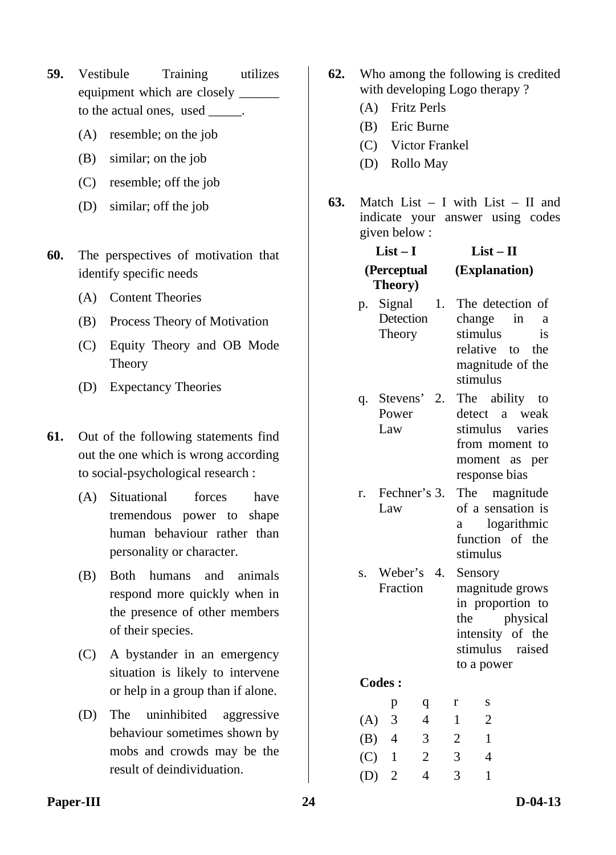- **59.** Vestibule Training utilizes equipment which are closely  $\overline{\phantom{a}}$ to the actual ones, used \_\_\_\_\_.
	- (A) resemble; on the job
	- (B) similar; on the job
	- (C) resemble; off the job
	- (D) similar; off the job
- **60.** The perspectives of motivation that identify specific needs
	- (A) Content Theories
	- (B) Process Theory of Motivation
	- (C) Equity Theory and OB Mode Theory
	- (D) Expectancy Theories
- **61.** Out of the following statements find out the one which is wrong according to social-psychological research :
	- (A) Situational forces have tremendous power to shape human behaviour rather than personality or character.
	- (B) Both humans and animals respond more quickly when in the presence of other members of their species.
	- (C) A bystander in an emergency situation is likely to intervene or help in a group than if alone.
	- (D) The uninhibited aggressive behaviour sometimes shown by mobs and crowds may be the result of deindividuation.
- **62.** Who among the following is credited with developing Logo therapy ?
	- (A) Fritz Perls
	- (B) Eric Burne
	- (C) Victor Frankel
	- (D) Rollo May
- **63.** Match List I with List II and indicate your answer using codes given below :

#### **List – I (Perceptual Theory) List – II (Explanation)**

- p. Signal Detection Theory 1. The detection of change in a stimulus is relative to the magnitude of the stimulus
- q. Stevens' Power Law 2. The ability to detect a weak stimulus varies from moment to moment as per response bias
- r. Fechner's Law The magnitude of a sensation is a logarithmic function of the stimulus
- s. Weber's Fraction **Sensory** magnitude grows in proportion to the physical intensity of the stimulus raised to a power

|     | р              | q | Г | S |
|-----|----------------|---|---|---|
| (A) | 3              | 4 | 1 | 2 |
| (B) | $\overline{4}$ | 3 | 2 |   |
| (C) | -1             | 2 | 3 | 4 |
| (D) | -2             | 4 | 3 |   |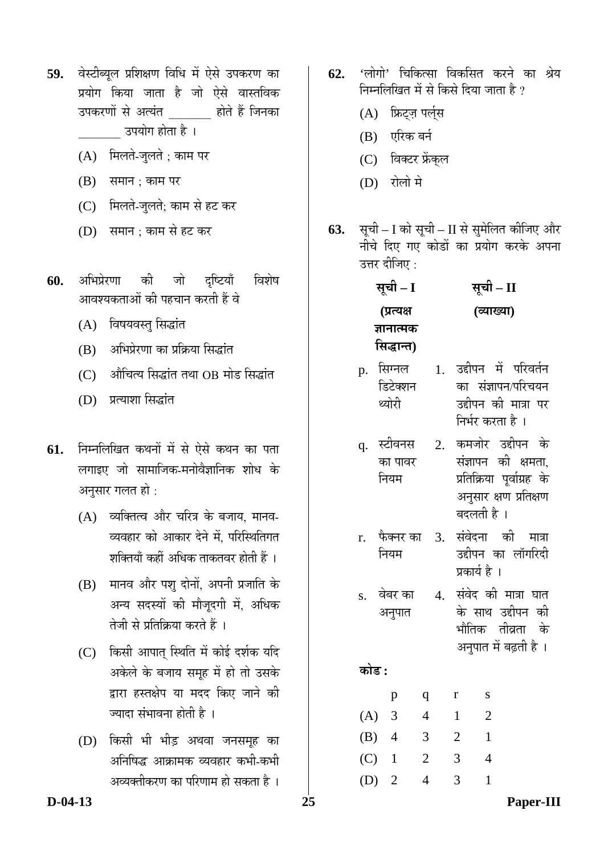- 59. वेस्टीब्यूल प्रशिक्षण विधि में ऐसे उपकरण का प्रयोग किया जाता है जो ऐसे वास्तविक उपकरणों से अत्यंत छिं होते हैं जिनका उपयोग होता है ।
	- $(A)$  मिलते-जुलते ; काम पर
	- $(B)$  समान ; काम पर
	- (C) मिलते-जुलते; काम से हट कर
	- (D) समान ; काम से हट कर
- **60.** अभिप्रेरणा की जो दृष्टियाँ विशेष आवश्यकताओं की पहचान करती हैं वे
	- (A) विषयवस्तु सिद्धांत
	- $(B)$  अभिप्रेरणा का प्रक्रिया सिद्धांत
	- $(C)$  औचित्य सिद्धांत तथा OB मोड सिद्धांत
	- (D) प्रत्याशा सिद्धांत
- 61. निम्नलिखित कथनों में से ऐसे कथन का पता लगाइए जो सामाजिक-मनोवैज्ञानिक शोध के अनुसार गलत हो :
	- $(A)$  व्यक्तित्व और चरित्र के बजाय, मानव-व्यवहार को आकार देने में. परिस्थितिगत शक्तियाँ कहीं अधिक ताकतवर होती हैं ।
	- (B) ग्मानव और पशु दोनों, अपनी प्रजाति के अन्य सदस्यों की मौजदगी में. अधिक तेजी से प्रतिक्रिया करते हैं ।
	- (C) किसी आपात स्थिति में कोई दर्शक यदि अकेले के बजाय समह में हो तो उसके द्वारा हस्तक्षेप या मदद किए जाने की ज्यादा संभावना होती है ।
	- (D) किसी भी भीड़ अथवा जनसमह का अनिषिद्ध आक्रामक व्यवहार कभी-कभी अव्यक्तीकरण का परिणाम हो सकता है ।
- **62.** 'लोगो' चिकित्सा विकसित करने का श्रेय निम्नलिखित में से किसे दिया जाता है ?
	- (A) फ्रिट्ज़ पर्ल्स
	- (B) एरिक बर्न
	- (C) विक्टर फ्रेंकुल
	- (D) रोलो मे
- **63.** सूची I को सूची II से सुमेलित कीजिए और नीचे दिए गए कोडों का प्रयोग करके अपना उत्तर दीजिए  $\cdot$

| सूची – I   | सूची – II  |
|------------|------------|
| (प्रत्यक्ष | (व्याख्या) |
| ज्ञानात्मक |            |
| सिद्धान्त) |            |

- p. सिग्नल डिटेक्शन थ्योरी 1. उद्दीपन में परिवर्तन का संज्ञापन/परिचयन उद्दीपन की मात्रा पर निर्भर करता है ।
- q. स्टीवनस का पावर नियम 2. कमजोर उद्दीपन के संज्ञापन की क्षमता. प्रतिक्रिया पूर्वाग्रह के अनुसार क्षण प्रतिक्षण
- r. फैक्नर का नियम 3. संवेदना की मात्रा उद्दीपन का लॉगरिदी प्रकार्य है ।

बदलती है ।

- $\,$ s. वेबर का अनुपात 4. संवेद की मात्रा घात के साथ उद्दीपन की भौतिक तीव्रता के अनुपात में बढ़ती है ।
	-

<u>कोड :</u>

|         | р              | q |   | S |
|---------|----------------|---|---|---|
| (A) 3   |                | 4 | 1 | 2 |
| (B)     | $\overline{4}$ | 3 | 2 |   |
| $(C)$ 1 |                | 2 | 3 | 4 |
| (D)     | -2             | 4 | 3 |   |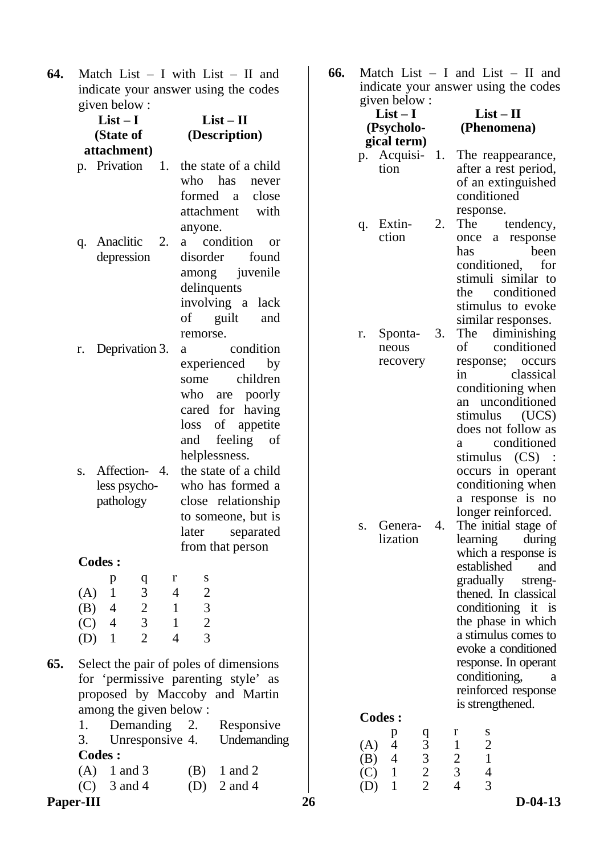**64.** Match List – I with List – II and indicate your answer using the codes  $\frac{1}{\pi}$ given below :

|          | $\mu$ octow.<br>$List-I$                                    |                | $List - II$                                                                                                                                                                                                                                                                                  |  |  |
|----------|-------------------------------------------------------------|----------------|----------------------------------------------------------------------------------------------------------------------------------------------------------------------------------------------------------------------------------------------------------------------------------------------|--|--|
|          | (State of                                                   |                | (Description)                                                                                                                                                                                                                                                                                |  |  |
|          | attachment)                                                 |                |                                                                                                                                                                                                                                                                                              |  |  |
|          | p. Privation                                                | 1.             | the state of a child<br>who has<br>never<br>formed a close<br>attachment<br>with<br>anyone.                                                                                                                                                                                                  |  |  |
| q.       | Anaclitic<br>depression                                     | 2.             | a condition<br><sub>or</sub><br>disorder<br>found<br>among juvenile<br>delinquents<br>involving a lack<br>of guilt<br>and<br>remorse.                                                                                                                                                        |  |  |
| r.<br>S. | Deprivation 3.<br>Affection-4.<br>less psycho-<br>pathology |                | condition<br>a<br>experienced by<br>children<br>some<br>who are poorly<br>cared for having<br>of appetite<br>loss<br>feeling<br>and<br>of<br>helplessness.<br>the state of a child<br>who has formed a<br>close relationship<br>to someone, but is<br>separated<br>later<br>from that person |  |  |
|          | <b>Codes:</b>                                               |                |                                                                                                                                                                                                                                                                                              |  |  |
|          | p                                                           | r<br>q         | S                                                                                                                                                                                                                                                                                            |  |  |
| (A)      | 1                                                           | 3<br>4         | $\overline{2}$                                                                                                                                                                                                                                                                               |  |  |
| (B)      | $\overline{4}$                                              |                | $\overline{\mathbf{3}}$<br>1                                                                                                                                                                                                                                                                 |  |  |
|          | $(C)$ 4                                                     | $\frac{2}{3}$  | $\overline{c}$<br>$\mathbf 1$                                                                                                                                                                                                                                                                |  |  |
|          | $(D)$ 1                                                     | $\overline{2}$ | $\overline{3}$<br>4                                                                                                                                                                                                                                                                          |  |  |
|          | among the given below:                                      |                | Select the pair of poles of dimensions<br>for 'permissive parenting style' as<br>proposed by Maccoby and Martin                                                                                                                                                                              |  |  |

1. Demanding 2. Responsive 3. Unresponsive 4. Undemanding **Codes :**  (A)  $1$  and  $3$  (B)  $1$  and  $2$ (C)  $3 \text{ and } 4$  (D)  $2 \text{ and } 4$ 

### **Paper-III** 26 D-04-13

**66.** Match List – I and List – II and indicate your answer using the codes

|     | given below:                              |    |                                         |  |  |
|-----|-------------------------------------------|----|-----------------------------------------|--|--|
|     | $List-I$                                  |    | $List-II$                               |  |  |
|     | (Psycholo-                                |    | (Phenomena)                             |  |  |
|     | gical term)                               |    |                                         |  |  |
|     | p. Acquisi-                               | 1. | The reappearance,                       |  |  |
|     | tion                                      |    | after a rest period,                    |  |  |
|     |                                           |    | of an extinguished                      |  |  |
|     |                                           |    | conditioned                             |  |  |
|     |                                           |    |                                         |  |  |
|     |                                           | 2. | response.<br>The                        |  |  |
| q.  | Extin-<br>ction                           |    | tendency,                               |  |  |
|     |                                           |    | once a response                         |  |  |
|     |                                           |    | been<br>has                             |  |  |
|     |                                           |    | conditioned,<br>for                     |  |  |
|     |                                           |    | stimuli similar to                      |  |  |
|     |                                           |    | the conditioned                         |  |  |
|     |                                           |    | stimulus to evoke                       |  |  |
|     |                                           |    | similar responses.                      |  |  |
| r.  | Sponta-                                   | 3. | The diminishing                         |  |  |
|     | neous                                     |    | conditioned<br>of                       |  |  |
|     | recovery                                  |    | response; occurs                        |  |  |
|     |                                           |    | in<br>classical                         |  |  |
|     |                                           |    | conditioning when                       |  |  |
|     |                                           |    | unconditioned<br>an                     |  |  |
|     |                                           |    | (UCS)<br>stimulus                       |  |  |
|     |                                           |    | does not follow as                      |  |  |
|     |                                           |    | conditioned<br>a                        |  |  |
|     |                                           |    | stimulus (CS)                           |  |  |
|     |                                           |    | occurs in operant                       |  |  |
|     |                                           |    | conditioning when                       |  |  |
|     |                                           |    | a response is no                        |  |  |
|     |                                           |    | longer reinforced.                      |  |  |
| S.  | Genera-                                   | 4. | The initial stage of                    |  |  |
|     | lization                                  |    | learning during                         |  |  |
|     |                                           |    |                                         |  |  |
|     |                                           |    | which a response is<br>established      |  |  |
|     |                                           |    | and                                     |  |  |
|     |                                           |    | gradually streng-                       |  |  |
|     |                                           |    | thened. In classical                    |  |  |
|     |                                           |    | conditioning<br>it<br><i>is</i>         |  |  |
|     |                                           |    | the phase in which                      |  |  |
|     |                                           |    | a stimulus comes to                     |  |  |
|     |                                           |    | evoke a conditioned                     |  |  |
|     |                                           |    | response. In operant                    |  |  |
|     |                                           |    | conditioning,<br>a                      |  |  |
|     |                                           |    | reinforced response                     |  |  |
|     |                                           |    | is strengthened.                        |  |  |
|     | <b>Codes :</b>                            |    |                                         |  |  |
|     | p                                         |    | r<br>S                                  |  |  |
| (A) | 4                                         |    | $\mathbf{1}$<br>$\overline{\mathbf{c}}$ |  |  |
| (B) | q 3<br>3<br>2<br>2<br>2<br>$\overline{4}$ |    | $\mathbf{1}$<br>$\frac{2}{3}$           |  |  |
| (C) | $\mathbf{1}$                              |    | $\overline{\mathcal{L}}$                |  |  |
| (D) | $\mathbf{1}$                              |    | $\overline{4}$<br>3                     |  |  |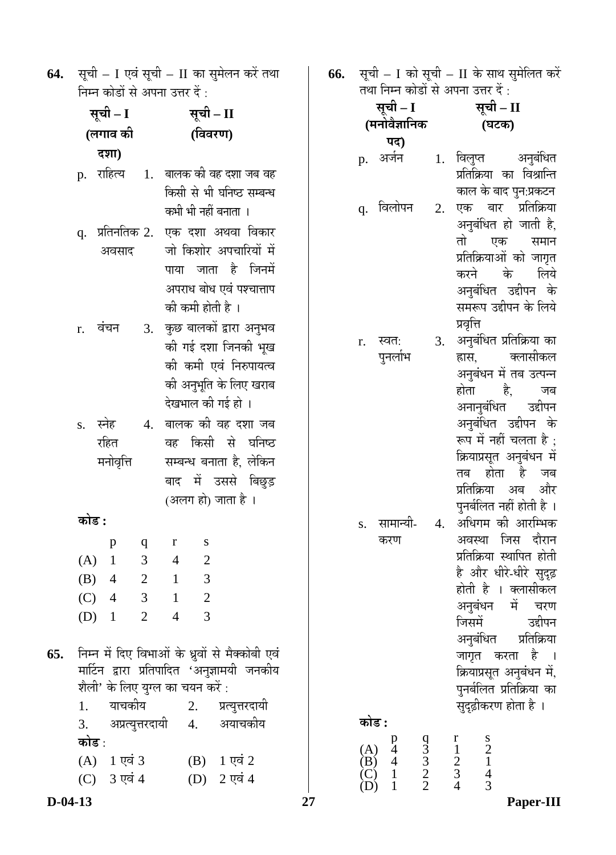64. सूची – I एवं सूची – II का सुमेलन करें तथा निम्न कोडों से अपना उत्तर दें :

| सूची – I       |  |                                                         | सूची – II                |                                                |                                                                                          |                            |                                                                                                      |
|----------------|--|---------------------------------------------------------|--------------------------|------------------------------------------------|------------------------------------------------------------------------------------------|----------------------------|------------------------------------------------------------------------------------------------------|
| (लगाव की       |  |                                                         | (विवरण)                  |                                                |                                                                                          |                            |                                                                                                      |
|                |  | दशा)                                                    |                          |                                                |                                                                                          |                            |                                                                                                      |
|                |  | p. राहित्य 1.                                           |                          |                                                | कभी भी नहीं बनाता ।                                                                      |                            | बालक की वह दशा जब वह<br>किसी से भी घनिष्ठ सम्बन्ध                                                    |
|                |  | q.  प्रतिनतिक 2.   <br>अवसाद                            |                          |                                                | की कमी होती है ।                                                                         |                            | एक दशा अथवा विकार<br>जो किशोर अपचारियों में<br>पाया जाता है जिनमें<br>अपराध बोध एवं पश्चात्ताप       |
| r. वंचन        |  |                                                         | 3.                       |                                                | देखभाल की गई हो ।                                                                        |                            | कुछ बालकों द्वारा अनुभव<br>की गई दशा जिनकी भूख<br>की कमी एवं निरुपायत्व<br>की अनुभूति के लिए खराब    |
| s. स्नेह       |  | रहित<br>मनोवृत्ति                                       | 4.                       |                                                | (अलग हो) जाता है ।                                                                       |                            | बालक की वह दशा जब<br>वह किसी से घनिष्ठ<br>सम्बन्ध बनाता है, लेकिन<br>बाद में उससे बिछुड़             |
| कोड :          |  |                                                         |                          |                                                |                                                                                          |                            |                                                                                                      |
| (A)<br>$(B)$ 4 |  | p<br>$\mathbf{1}$<br>$(C)$ 4 3 1<br>(D) $1 \t2 \t4 \t3$ | q<br>3<br>$\overline{c}$ | $\mathbf{r}$<br>$\overline{4}$<br>$\mathbf{1}$ | S<br>$\overline{2}$<br>3<br>$\overline{2}$                                               |                            |                                                                                                      |
| कोड :          |  | 1. याचकीय<br>(A) 1 एवं 3<br>(C) 3 एवं 4                 |                          |                                                | शैली' के लिए युग्ल का चयन करें :<br>2. प्रत्युत्तरदायी<br>3. अप्रत्युत्तरदायी 4. अयाचकीय | (B) 1 एवं 2<br>(D) 2 एवं 4 | 65.   निम्न में दिए विभाओं के ध्रुवों से मैक्कोबी एवं<br>मार्टिन द्वारा प्रतिपादित 'अनुज्ञामयी जनकीय |

**66.** सूची – I को सूची – II के साथ सुमेलित करें तथा निम्न कोडों से अपना उत्तर दें :

| सूची – I<br>(मनोवैज्ञानिक | सूची – II<br>(घटक)     |                                |  |  |
|---------------------------|------------------------|--------------------------------|--|--|
| पद)                       |                        |                                |  |  |
| अर्जन<br>p.               | विलुप्त<br>प्रतिक्रिया | अनुबंधित<br>विश्रान्ति<br>का । |  |  |

- काल के बाद पुन:प्रकटन q. विलोपन 2. एक बार प्रतिक्रिया अनुबंधित हो जाती है, तो एक समान प्रतिक्रियाओं को जागृत<br>करने के लिये करने के अनुबंधित उद्दीपन के समरूप उद्दीपन के लिये प्रवृत्ति
- r. स्वत: पुनर्लाभ 3. अनुबंधित प्रतिक्रिया का हास, क्लासीकल अनुबंधन में तब उत्पन्न होता है. जब अनानुबंधित उद्दीपन अनुबंधित उद्दीपन के रूप में नहीं चलता है : क्रियाप्रसूत अनुबंधन में तब होता है जब<br>प्रतिक्रिया अब और प्रतिक्रिया अब पुनर्बलित नहीं होती है । s. सामान्यी-करण 4. अधिगम को आरम्भिक अवस्था जिस दौरान प्रतिक्रिया स्थापित होती

|       |               | ାଠାਰ ତାଧାଙ୍କ ।କ୍ଷାଠାଧ          |
|-------|---------------|--------------------------------|
|       |               | है और धीरे-धीरे सुदृढ़         |
|       |               | होती है । क्लासीकल             |
|       |               | अनुबंधन में चरण                |
|       |               | जिसमें उद्दीपन                 |
|       |               | अनुबंधित प्रतिक्रिया           |
|       |               | जागृत करता है ।                |
|       |               | क्रियाप्रसूत अनुबंधन में,      |
|       |               | पुनर्बलित प्रतिक्रिया का       |
|       |               | सुदृढ़ीकरण होता है ।           |
| कोड : |               |                                |
|       | $\frac{q}{3}$ | $\frac{r}{1}$<br>$\frac{s}{2}$ |
| (A)   |               |                                |

 (B) 4 3 2 1  $(C)$  1 2 3 4  $(D)$  1 2 4 3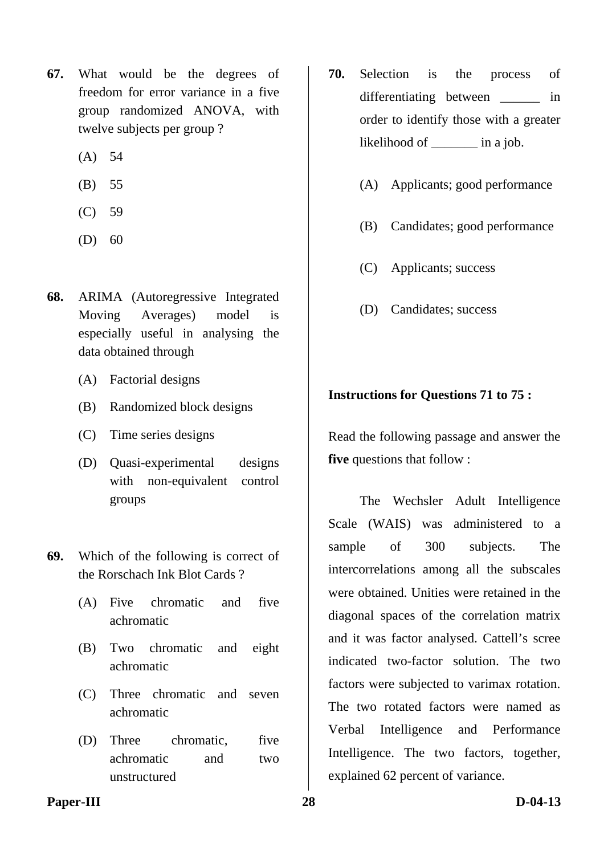- **67.** What would be the degrees of freedom for error variance in a five group randomized ANOVA, with twelve subjects per group ?
	- (A) 54
	- (B) 55
	- (C) 59
	- $(D) 60$
- **68.** ARIMA (Autoregressive Integrated Moving Averages) model is especially useful in analysing the data obtained through
	- (A) Factorial designs
	- (B) Randomized block designs
	- (C) Time series designs
	- (D) Quasi-experimental designs with non-equivalent control groups
- **69.** Which of the following is correct of the Rorschach Ink Blot Cards ?
	- (A) Five chromatic and five achromatic
	- (B) Two chromatic and eight achromatic
	- (C) Three chromatic and seven achromatic
	- (D) Three chromatic, five achromatic and two unstructured
- **70.** Selection is the process of differentiating between in order to identify those with a greater likelihood of \_\_\_\_\_\_\_ in a job.
	- (A) Applicants; good performance
	- (B) Candidates; good performance
	- (C) Applicants; success
	- (D) Candidates; success

### **Instructions for Questions 71 to 75 :**

Read the following passage and answer the **five** questions that follow :

The Wechsler Adult Intelligence Scale (WAIS) was administered to a sample of 300 subjects. The intercorrelations among all the subscales were obtained. Unities were retained in the diagonal spaces of the correlation matrix and it was factor analysed. Cattell's scree indicated two-factor solution. The two factors were subjected to varimax rotation. The two rotated factors were named as Verbal Intelligence and Performance Intelligence. The two factors, together, explained 62 percent of variance.

#### Paper-III 28 D-04-13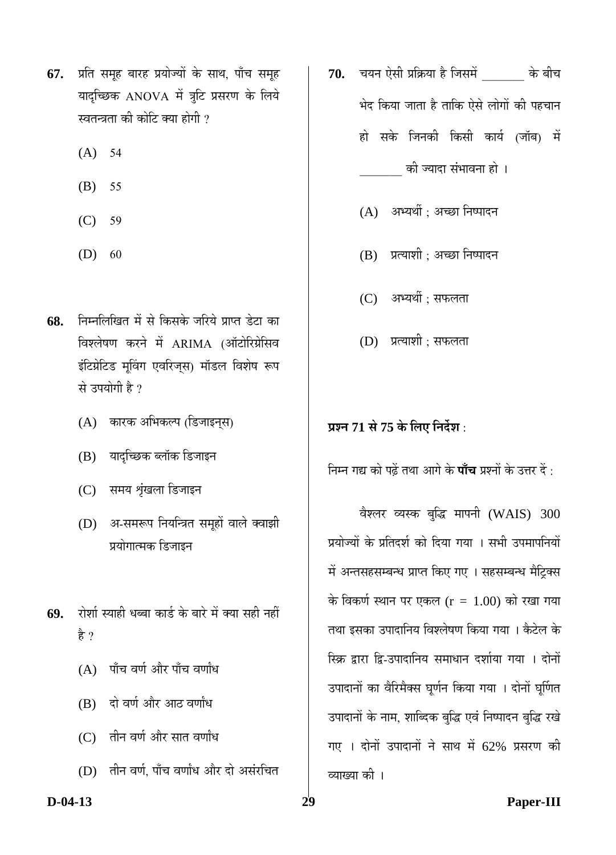- **67.** प्रति समूह बारह प्रयोज्यों के साथ, पाँच समूह यादृच्छिक ANOVA में त्रुटि प्रसरण के लिये स्वतन्त्रता की कोटि क्या होगी ?
	- (A) 54
	- (B) 55
	- (C) 59
	- $(D) 60$
- 68. निम्नलिखित में से किसके जरिये प्राप्त डेटा का विश्लेषण करने में ARIMA (ऑटोरिग्रेसिव इंटिग्रेटिड मूविंग एवरिज्स) मॉडल विशेष रूप से उपयोगी है ?
	- (A) कारक अभिकल्प (डिजाइन्स)
	- (B) यादच्छिक ब्लॉक डिजाइन
	- (C) समय शृंखला डिजाइन
	- (D) अ-समरूप नियन्त्रित समूहों वाले क्वाझी प्रयोगात्मक डिजाइन
- 69. रोशी स्याही धब्बा कार्ड के बारे में क्या सही नहीं है ?
	- $(A)$  पाँच वर्ण और पाँच वर्णांध
	- (B) दो वर्ण और आठ वर्णांध
	- $(C)$  तीन वर्ण और सात वर्णांध
	- (D) तीन वर्ण, पाँच वर्णांध और दो असंरचित

**70.** "ÖµÖ®Ö ‹êÃÖß ¯ÖÏ×ÛÎúµÖÖ Æîü וÖÃÖ´Öë \_\_\_\_\_\_\_ Ûêú ²Öß"Ö भेद किया जाता है ताकि ऐसे लोगों की पहचान हो सके जिनकी किसी कार्य (जॉब) में

को ज्यादा संभावना हो ।

- $(A)$  अभ्यर्थी ; अच्छा निष्पादन
- (B) प्रत्याशी; अच्छा निष्पादन
- (C) अभ्यर्थी : सफलता
- (D) प्रत्याशी; सफलता

### **¯ÖÏ¿®Ö 71 ÃÖê 75 Ûêú ×»Ö‹ ×®Ö¤ìü¿Ö :**

निम्न गद्य को पढ़ें तथा आगे के **पाँच** प्रश्नों के उत्तर दें :

वैश्लर व्यस्क बुद्धि मापनी (WAIS) 300 प्रयोज्यों के प्रतिदर्श को दिया गया । सभी उपमापनियों में अन्तसहसम्बन्ध प्राप्त किए गए । सहसम्बन्ध मैट्रिक्स के विकर्ण स्थान पर एकल  $(r = 1.00)$  को रखा गया तथा इसका उपादानिय विश्लेषण किया गया । कैटेल के स्क्रि द्रारा द्वि-उपादानिय समाधान दर्शाया गया । दोनों उपादानों का वैरिमैक्स घूर्णन किया गया । दोनों घूर्णित उपादानों के नाम, शाब्दिक बुद्धि एवं निष्पादन बुद्धि रखे गए । दोनों उपादानों ने साथ में  $62\%$  प्रसरण की व्याख्या की ।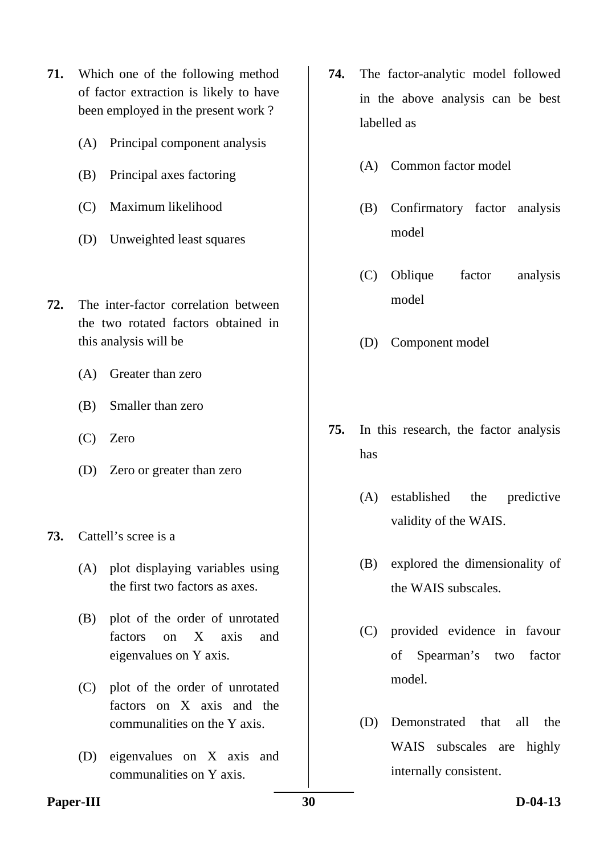- **71.** Which one of the following method of factor extraction is likely to have been employed in the present work ?
	- (A) Principal component analysis
	- (B) Principal axes factoring
	- (C) Maximum likelihood
	- (D) Unweighted least squares
- **72.** The inter-factor correlation between the two rotated factors obtained in this analysis will be
	- (A) Greater than zero
	- (B) Smaller than zero
	- (C) Zero
	- (D) Zero or greater than zero
- **73.** Cattell's scree is a
	- (A) plot displaying variables using the first two factors as axes.
	- (B) plot of the order of unrotated factors on X axis and eigenvalues on Y axis.
	- (C) plot of the order of unrotated factors on X axis and the communalities on the Y axis.
	- (D) eigenvalues on X axis and communalities on Y axis.
- **74.** The factor-analytic model followed in the above analysis can be best labelled as
	- (A) Common factor model
	- (B) Confirmatory factor analysis model
	- (C) Oblique factor analysis model
	- (D) Component model
- **75.** In this research, the factor analysis has
	- (A) established the predictive validity of the WAIS.
	- (B) explored the dimensionality of the WAIS subscales.
	- (C) provided evidence in favour of Spearman's two factor model.
	- (D) Demonstrated that all the WAIS subscales are highly internally consistent.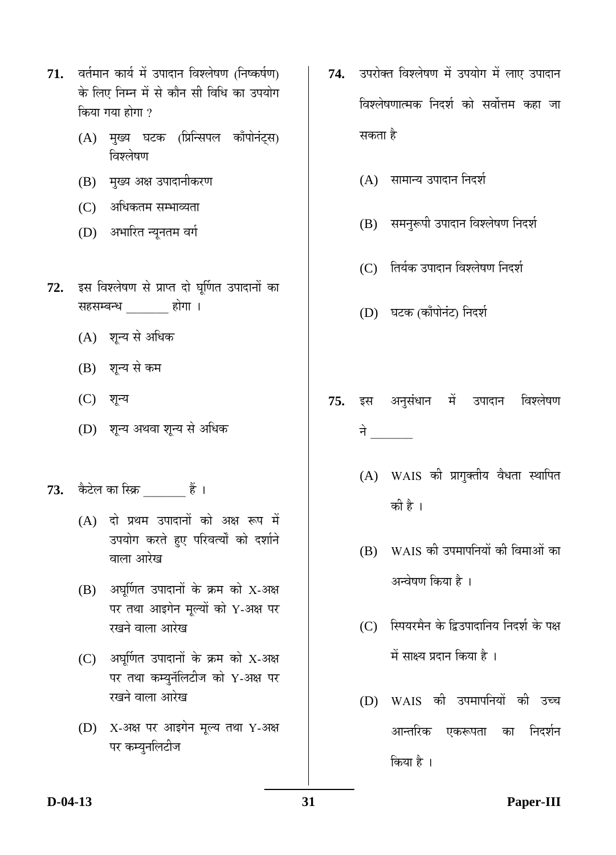- 71. वर्तमान कार्य में उपादान विश्लेषण (निष्कर्षण) के लिए निम्न में से कौन सी विधि का उपयोग किया गया होगा $\,$ ?
	- (A) मुख्य घटक (प्रिन्सिपल काँपोनंट्स) विश्लेषण
	- (B) मुख्य अक्ष उपादानीकरण
	- (C) अधिकतम सम्भाव्यता
	- (D) अभारित न्यूनतम वर्ग
- 72. इस विश्लेषण से प्राप्त दो घूर्णित उपादानों का सहसम्बन्ध <sub>\_\_\_\_\_</sub> होगा ।
	- $(A)$  शून्य से अधिक
	- (B) शून्य से कम
	- (C) शून्य
	- (D) शुन्य अथवा शुन्य से अधिक
- 73. कैटेल का स्क्रि \_\_\_\_\_\_\_ हैं ।
	- $(A)$  दो प्रथम उपादानों को अक्ष रूप में उपयोग करते हुए परिवर्त्यों को दर्शाने वाला आरेख
	- $(B)$  अघूर्णित उपादानों के क्रम को X-अक्ष पर तथा आइगेन मूल्यों को Y-अक्ष पर रखने वाला आरेख
	- $(C)$  अघूर्णित उपादानों के क्रम को X-अक्ष पर तथा कम्युनॅलिटीज को Y-अक्ष पर रखने वाला आरेख
	- (D) X-अक्ष पर आइगेन मूल्य तथा Y-अक्ष पर कम्युनलिटीज
- 74. उपरोक्त विश्लेषण में उपयोग में लाए उपादान विश्लेषणात्मक निदर्श को सर्वोत्तम कहा जा सकता है
	- $(A)$  सामान्य उपादान निदर्श
	- (B) समनुरूपी उपादान विश्लेषण निदर्श
	- (C) तिर्यक उपादान विश्लेषण निदर्श
	- (D) घटक (काँपोनंट) निदर्श
- 75. इस अनुसंधान में उपादान विश्लेषण चे <sub>प</sub>
	- (A) WAIS की प्रागुक्तीय वैधता स्थापित को है ।
	- (B) WAIS की उपमापनियों की विमाओं का अन्वेषण किया है ।
	- (C) स्पियरमैन के द्विउपादानिय निदर्श के पक्ष में साक्ष्य प्रदान किया है ।
	- (D) WAIS की उपमापनियों की उच्च आन्तरिक एकरूपता का निदर्शन किया है ।